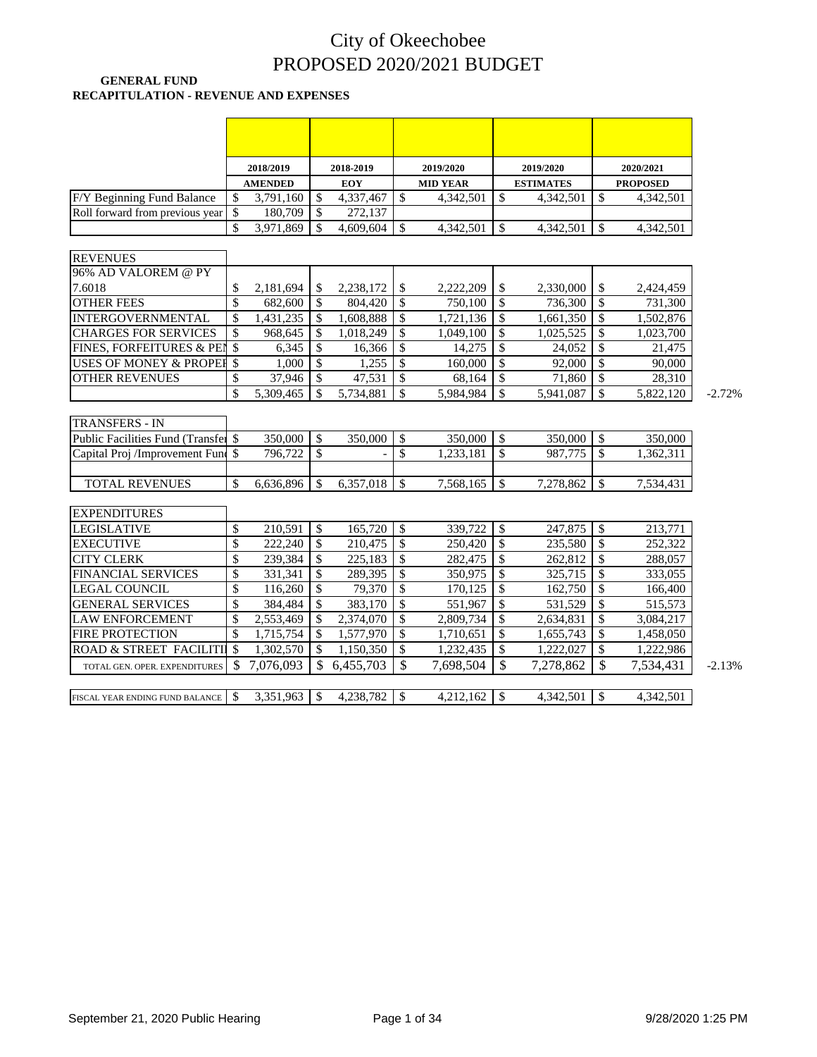#### **GENERAL FUND RECAPITULATION - REVENUE AND EXPENSES**

|                                      |                           | 2018/2019      |               | 2018-2019  |                           | 2019/2020       |                          | 2019/2020        |                    | 2020/2021       |          |
|--------------------------------------|---------------------------|----------------|---------------|------------|---------------------------|-----------------|--------------------------|------------------|--------------------|-----------------|----------|
|                                      |                           | <b>AMENDED</b> |               | <b>EOY</b> |                           | <b>MID YEAR</b> |                          | <b>ESTIMATES</b> |                    | <b>PROPOSED</b> |          |
| F/Y Beginning Fund Balance           | \$                        | 3,791,160      | \$            | 4,337,467  | \$                        | 4,342,501       | \$                       | 4,342,501        | \$                 | 4,342,501       |          |
| Roll forward from previous year      | $\boldsymbol{\mathsf{S}}$ | 180,709        | \$            | 272,137    |                           |                 |                          |                  |                    |                 |          |
|                                      | \$                        | 3,971,869      | \$            | 4.609.604  | \$                        | 4,342,501       | \$                       | 4,342,501        | \$.                | 4,342,501       |          |
|                                      |                           |                |               |            |                           |                 |                          |                  |                    |                 |          |
| <b>REVENUES</b>                      |                           |                |               |            |                           |                 |                          |                  |                    |                 |          |
| 96% AD VALOREM @ PY                  |                           |                |               |            |                           |                 |                          |                  |                    |                 |          |
| 7.6018                               | \$                        | 2,181,694      | \$            | 2,238,172  | \$                        | 2,222,209       | \$                       | 2,330,000        | \$                 | 2,424,459       |          |
| <b>OTHER FEES</b>                    | \$                        | 682,600        | \$            | 804.420    | \$                        | 750,100         | $\mathbb{S}$             | 736,300          | \$                 | 731,300         |          |
| <b>INTERGOVERNMENTAL</b>             | \$                        | 1,431,235      | \$            | 1,608,888  | \$                        | 1,721,136       | \$                       | 1,661,350        | \$                 | 1,502,876       |          |
| <b>CHARGES FOR SERVICES</b>          | \$                        | 968,645        | \$            | 1.018.249  | \$                        | 1.049.100       | \$                       | 1,025,525        | \$                 | 1.023.700       |          |
| FINES, FORFEITURES & PEI \$          |                           | 6,345          | \$            | 16,366     | \$                        | 14,275          | \$                       | 24,052           | \$                 | 21,475          |          |
| <b>USES OF MONEY &amp; PROPER \$</b> |                           | 1,000          | \$            | 1,255      | \$                        | 160,000         | $\overline{\mathcal{S}}$ | 92,000           | \$                 | 90,000          |          |
| <b>OTHER REVENUES</b>                | \$                        | 37,946         | \$            | 47,531     | \$                        | 68,164          | \$                       | 71,860           | \$                 | 28,310          |          |
|                                      | $\mathbf{\hat{S}}$        | 5.309.465      | \$            | 5,734,881  | \$                        | 5,984,984       | $\mathbf{\hat{S}}$       | 5,941,087        | $\mathbf{\hat{S}}$ | 5,822,120       | $-2.72%$ |
|                                      |                           |                |               |            |                           |                 |                          |                  |                    |                 |          |
| <b>TRANSFERS - IN</b>                |                           |                |               |            |                           |                 |                          |                  |                    |                 |          |
| Public Facilities Fund (Transfer \$  |                           | 350,000        | $\mathcal{S}$ | 350,000    | $\mathcal{S}$             | 350,000         | $\mathcal{S}$            | 350,000          | $\mathcal{S}$      | 350,000         |          |
| Capital Proj /Improvement Fund \$    |                           | 796.722        | \$            |            | \$                        | 1.233.181       | \$                       | 987.775          | \$                 | 1.362.311       |          |
| TOTAL REVENUES                       | \$                        | 6,636,896      | \$            | 6,357,018  | \$                        | 7,568,165       | $\mathbb{S}$             | 7,278,862        | \$                 | 7,534,431       |          |
|                                      |                           |                |               |            |                           |                 |                          |                  |                    |                 |          |
| <b>EXPENDITURES</b>                  |                           |                |               |            |                           |                 |                          |                  |                    |                 |          |
| <b>LEGISLATIVE</b>                   | \$                        | 210,591        | $\mathcal{S}$ | 165,720    | $\boldsymbol{\mathsf{S}}$ | 339,722         | $\mathcal{S}$            | 247,875          | $\mathcal{S}$      | 213,771         |          |
| <b>EXECUTIVE</b>                     | \$                        | 222.240        | \$            | 210.475    | $\mathcal{S}$             | 250,420         | $\mathsf{\$}$            | 235.580          | \$                 | 252.322         |          |
| <b>CITY CLERK</b>                    | \$                        | 239,384        | \$            | 225.183    | $\overline{\mathcal{S}}$  | 282,475         | \$                       | 262,812          | \$                 | 288,057         |          |
| FINANCIAL SERVICES                   | \$                        | 331,341        | \$            | 289,395    | \$                        | 350,975         | $\mathsf{\$}$            | 325,715          | \$                 | 333,055         |          |
| <b>LEGAL COUNCIL</b>                 | \$                        | 116,260        | \$            | 79,370     | \$                        | 170,125         | \$                       | 162,750          | \$                 | 166,400         |          |
| <b>GENERAL SERVICES</b>              | \$                        | 384.484        | \$            | 383.170    | \$                        | 551,967         | \$                       | 531.529          | \$                 | 515.573         |          |
| <b>LAW ENFORCEMENT</b>               | \$                        | 2,553,469      | \$            | 2,374,070  | \$                        | 2,809,734       | \$                       | 2,634,831        | \$                 | 3,084,217       |          |
| <b>FIRE PROTECTION</b>               | \$                        | 1,715,754      | \$            | 1,577,970  | \$                        | 1,710,651       | \$                       | 1,655,743        | \$                 | 1,458,050       |          |
| <b>ROAD &amp; STREET FACILITI</b>    | $\mathcal{S}$             | 1,302,570      | \$            | 1,150,350  | \$                        | 1,232,435       | \$                       | 1,222,027        | \$                 | 1,222,986       |          |
| TOTAL GEN. OPER. EXPENDITURES        | \$                        | 7,076,093      | \$            | 6,455,703  | \$                        | 7,698,504       | \$                       | 7,278,862        | \$                 | 7,534,431       | $-2.13%$ |
| FISCAL YEAR ENDING FUND BALANCE      | $\mathcal{S}$             | 3,351,963      | \$            | 4,238,782  | $\mathbb{S}$              | 4,212,162       | $\mathbb{S}$             | 4,342,501        | $\mathsf{\$}$      | 4,342,501       |          |
|                                      |                           |                |               |            |                           |                 |                          |                  |                    |                 |          |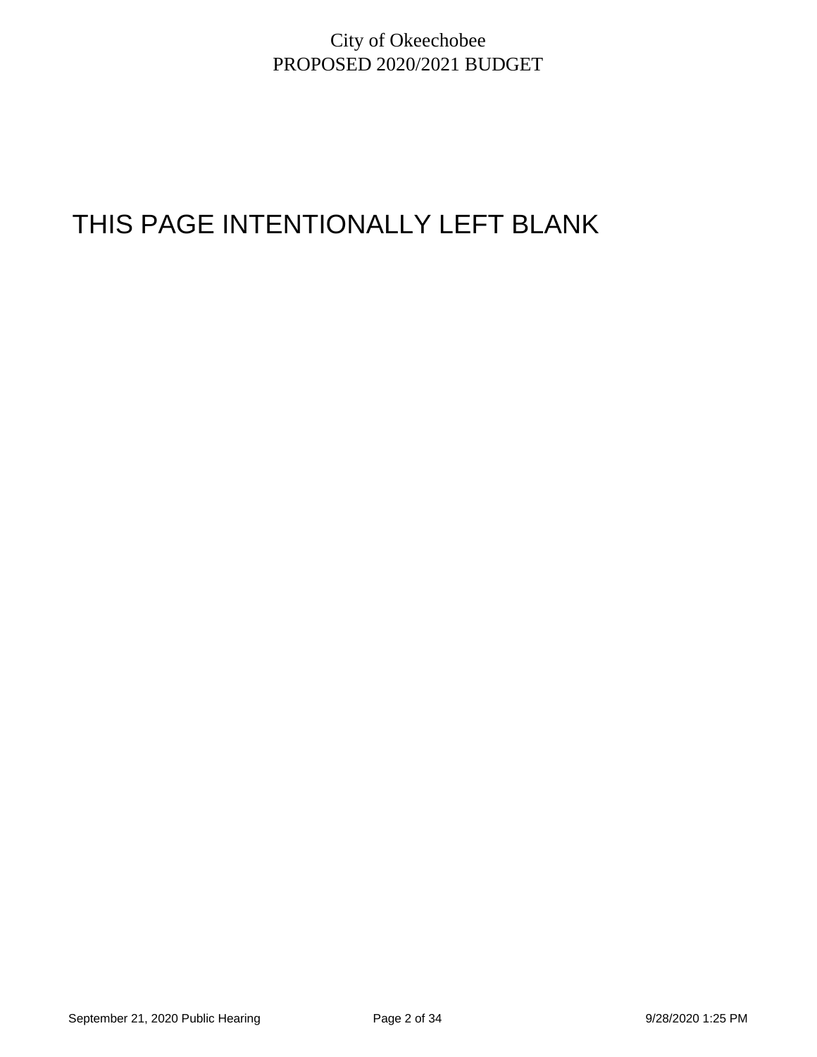# THIS PAGE INTENTIONALLY LEFT BLANK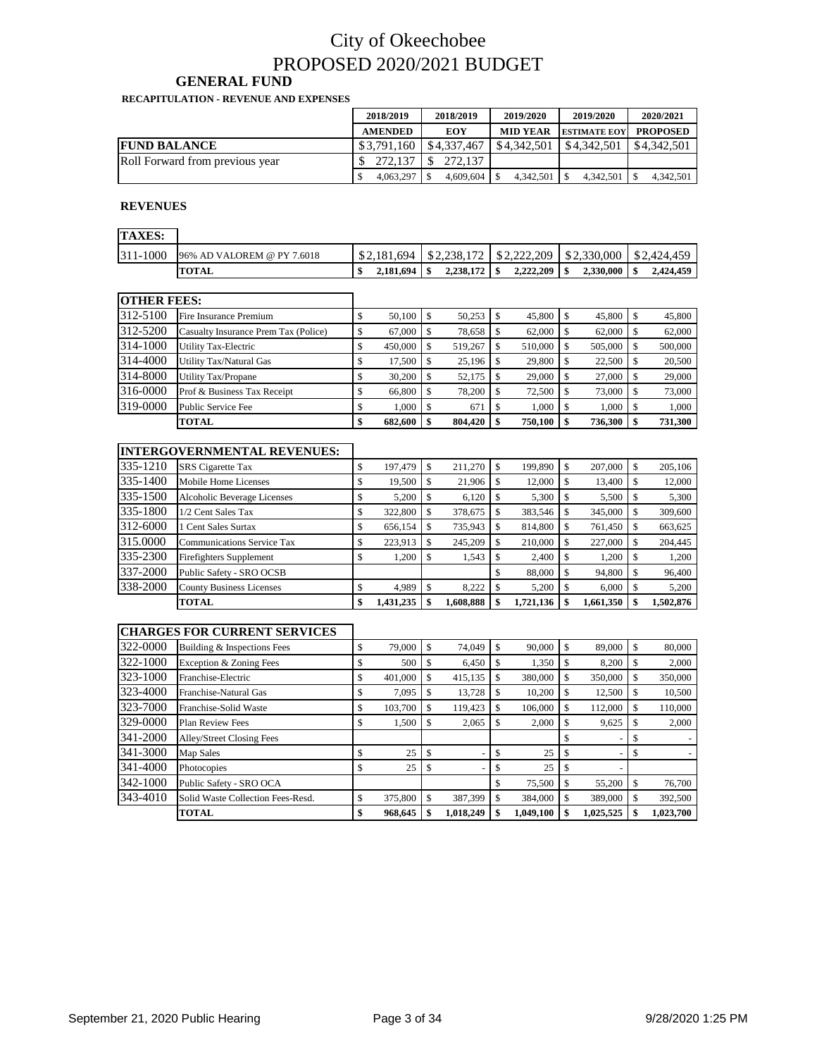**GENERAL FUND** 

#### **RECAPITULATION - REVENUE AND EXPENSES**

|                                 | 2018/2019      | 2018/2019   | 2019/2020       | 2019/2020           | 2020/2021       |
|---------------------------------|----------------|-------------|-----------------|---------------------|-----------------|
|                                 | <b>AMENDED</b> | EOY         | <b>MID YEAR</b> | <b>ESTIMATE EOY</b> | <b>PROPOSED</b> |
| <b>FUND BALANCE</b>             | \$3,791,160    | \$4,337,467 | \$4,342,501     | \$4,342,501         | \$4,342,501     |
| Roll Forward from previous year | 272.137        | 272.137     |                 |                     |                 |
|                                 | 4,063,297      | 4.609.604   | 4,342,501       | 4,342,501           | 4.342.501       |

#### **REVENUES**

| <b>TAXES:</b> |                            |               |               |                                                                     |               |           |
|---------------|----------------------------|---------------|---------------|---------------------------------------------------------------------|---------------|-----------|
| 311-1000      | 96% AD VALOREM @ PY 7.6018 |               |               | \$2,181,694   \$2,238,172   \$2,222,209   \$2,330,000   \$2,424,459 |               |           |
|               | <b>TOTAL</b>               | $2.181.694$ S | $2.238.172$ S | $2.222.209$ S                                                       | $2.330,000$ S | 2.424.459 |

| <b>OTHER FEES:</b> |                                      |         |     |         |         |                |         |         |
|--------------------|--------------------------------------|---------|-----|---------|---------|----------------|---------|---------|
| 312-5100           | Fire Insurance Premium               | 50,100  | \$  | 50,253  | 45,800  | 1 S            | 45,800  | 45,800  |
| 312-5200           | Casualty Insurance Prem Tax (Police) | 67,000  | \$  | 78,658  | 62,000  |                | 62,000  | 62,000  |
| 314-1000           | Utility Tax-Electric                 | 450,000 | S   | 519,267 | 510,000 | $\overline{1}$ | 505,000 | 500,000 |
| 314-4000           | Utility Tax/Natural Gas              | 17,500  | \$  | 25,196  | 29,800  | $\blacksquare$ | 22,500  | 20,500  |
| 314-8000           | Utility Tax/Propane                  | 30.200  | \$  | 52,175  | 29,000  |                | 27,000  | 29,000  |
| 316-0000           | Prof & Business Tax Receipt          | 66,800  | \$  | 78,200  | 72,500  |                | 73,000  | 73,000  |
| 319-0000           | Public Service Fee                   | 1.000   | \$. | 671     | 1.000   |                | 1.000   | 1,000   |
|                    | <b>TOTAL</b>                         | 682.600 |     | 804.420 | 750,100 |                | 736,300 | 731,300 |

### **INTERGOVERNMENTAL REVENUES:**

| 335-1210 | <b>SRS</b> Cigarette Tax          |   | 197,479   |     | 211.270   |          | 199,890   |      | 207,000   | 205,106   |
|----------|-----------------------------------|---|-----------|-----|-----------|----------|-----------|------|-----------|-----------|
| 335-1400 | Mobile Home Licenses              | э | 19,500    | ъ   | 21,906    | <b>S</b> | 12.000    |      | 13,400    | 12,000    |
| 335-1500 | Alcoholic Beverage Licenses       |   | 5,200     |     | 6,120     |          | 5,300     |      | 5,500     | 5,300     |
| 335-1800 | 1/2 Cent Sales Tax                |   | 322,800   | ۰D. | 378,675   |          | 383.546   |      | 345,000   | 309,600   |
| 312-6000 | Cent Sales Surtax                 |   | 656,154   |     | 735,943   | - S      | 814,800   |      | 761,450   | 663,625   |
| 315.0000 | <b>Communications Service Tax</b> |   | 223,913   | S   | 245,209   | \$.      | 210,000   | S    | 227,000   | 204,445   |
| 335-2300 | Firefighters Supplement           |   | 1.200     |     | 1,543     |          | 2,400     |      | 1.200     | 1,200     |
| 337-2000 | Public Safety - SRO OCSB          |   |           |     |           | \$.      | 88,000    | - \$ | 94,800    | 96,400    |
| 338-2000 | <b>County Business Licenses</b>   |   | 4.989     |     | 8,222     |          | 5.200     |      | 6,000     | 5,200     |
|          | <b>TOTAL</b>                      |   | 1,431,235 |     | 1,608,888 |          | 1,721,136 |      | 1,661,350 | 1,502,876 |

#### **CHARGES FOR CURRENT SERVICES**

| 322-0000 | Building & Inspections Fees       | \$ | 79,000  | S   | 74.049    | S  | 90,000    | S        | 89,000    | \$. | 80,000    |
|----------|-----------------------------------|----|---------|-----|-----------|----|-----------|----------|-----------|-----|-----------|
| 322-1000 | Exception & Zoning Fees           | \$ | 500     | S   | 6,450     |    | 1,350     | \$       | 8,200     |     | 2,000     |
| 323-1000 | Franchise-Electric                | \$ | 401,000 | \$. | 415,135   |    | 380,000   | S        | 350,000   |     | 350,000   |
| 323-4000 | Franchise-Natural Gas             | S  | 7.095   | S   | 13,728    |    | 10.200    | S        | 12.500    |     | 10,500    |
| 323-7000 | Franchise-Solid Waste             | \$ | 103,700 | S   | 119,423   |    | 106,000   | \$       | 112,000   | S   | 110,000   |
| 329-0000 | <b>Plan Review Fees</b>           | \$ | 1,500   | ъ   | 2,065     |    | 2,000     | \$       | 9,625     |     | 2,000     |
| 341-2000 | Alley/Street Closing Fees         |    |         |     |           |    |           | S        |           |     |           |
| 341-3000 | Map Sales                         | \$ | 25      | S   |           |    | 25        | ъ        |           | S   |           |
| 341-4000 | Photocopies                       | \$ | 25      | S   |           |    | 25        | <b>S</b> |           |     |           |
| 342-1000 | Public Safety - SRO OCA           |    |         |     |           |    | 75,500    | S        | 55,200    | \$. | 76,700    |
| 343-4010 | Solid Waste Collection Fees-Resd. | \$ | 375,800 | \$  | 387.399   | \$ | 384,000   | \$       | 389,000   | \$. | 392,500   |
|          | <b>TOTAL</b>                      | \$ | 968.645 |     | 1.018.249 |    | 1.049.100 |          | 1.025.525 |     | 1.023.700 |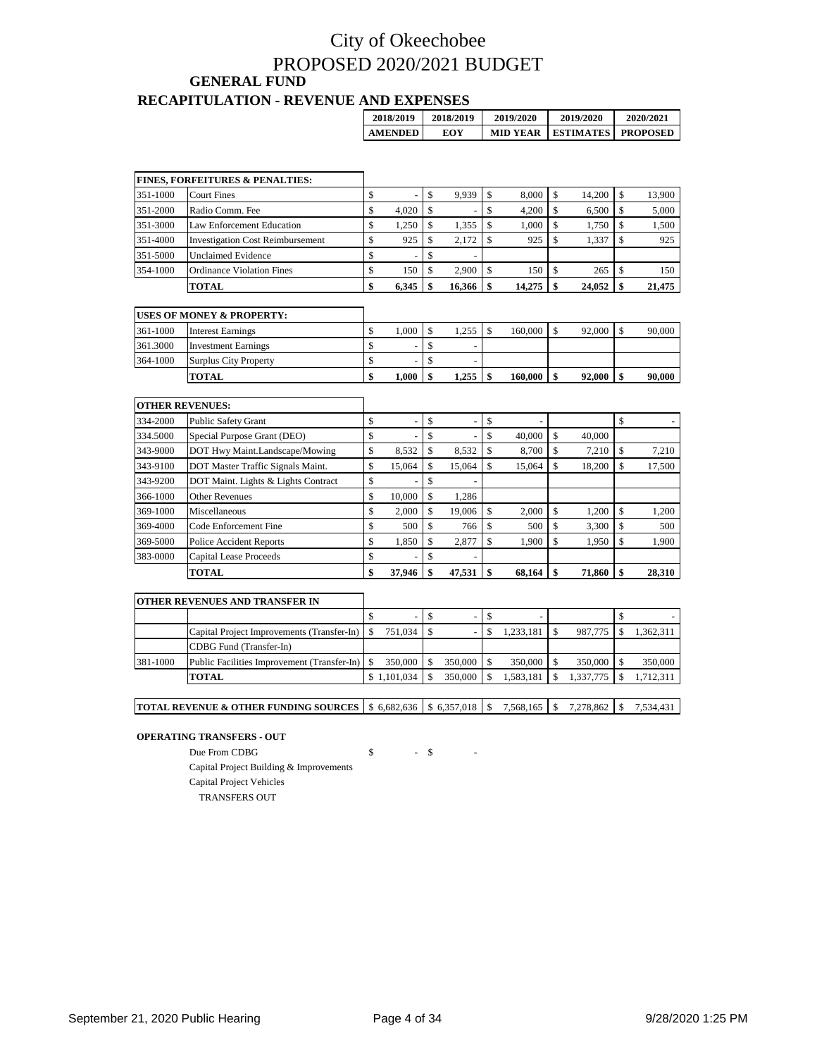### City of Okeechobee PROPOSED 2020/2021 BUDGET **GENERAL FUND**

#### **RECAPITULATION - REVENUE AND EXPENSES**

| 2018/2019      | 2018/2019 | 2019/2020 | 2019/2020                   | 2020/2021 |
|----------------|-----------|-----------|-----------------------------|-----------|
| <b>AMENDED</b> | EOY       | MID YEAR  | <b>LESTIMATES LPROPOSED</b> |           |

|          | FINES, FORFEITURES & PENALTIES:                  |                    |              |               |         |                    |           |                                 |                |                    |           |
|----------|--------------------------------------------------|--------------------|--------------|---------------|---------|--------------------|-----------|---------------------------------|----------------|--------------------|-----------|
| 351-1000 | <b>Court Fines</b>                               | \$                 |              | \$            | 9,939   | $\mathbf S$        | 8,000     | $\mathbf S$                     | 14,200         | \$                 | 13,900    |
| 351-2000 |                                                  | \$                 | 4.020        | $\mathbf S$   |         | $\mathbf S$        | 4,200     | $\mathcal{S}$                   |                | \$                 |           |
|          | Radio Comm. Fee<br>Law Enforcement Education     | \$                 |              | \$            | 1,355   | $\mathbb{S}$       | 1,000     | $\mathbf S$                     | 6,500<br>1,750 | \$                 | 5,000     |
| 351-3000 |                                                  | \$                 | 1,250<br>925 | \$            | 2,172   | $\mathbf{\hat{S}}$ |           | $\mathbf S$                     |                | $\mathbf{\hat{S}}$ | 1,500     |
| 351-4000 | <b>Investigation Cost Reimbursement</b>          |                    |              | \$            |         |                    | 925       |                                 | 1,337          |                    | 925       |
| 351-5000 | <b>Unclaimed Evidence</b>                        | \$<br>$\mathbb{S}$ |              |               |         |                    |           |                                 |                |                    |           |
| 354-1000 | <b>Ordinance Violation Fines</b>                 |                    | 150          | \$            | 2,900   | $\mathbf S$        | 150       | $\mathbb{S}$                    | 265            | \$                 | 150       |
|          | <b>TOTAL</b>                                     | \$                 | 6,345        | \$            | 16,366  | \$                 | 14,275    | $\mathbf{s}$                    | 24,052         | \$                 | 21,475    |
|          | USES OF MONEY & PROPERTY:                        |                    |              |               |         |                    |           |                                 |                |                    |           |
| 361-1000 | <b>Interest Earnings</b>                         | \$                 | 1,000        | \$            | 1,255   | \$                 | 160,000   | $\mathbb{S}$                    | 92,000         | \$                 | 90,000    |
| 361.3000 | <b>Investment Earnings</b>                       | \$                 |              | \$            |         |                    |           |                                 |                |                    |           |
| 364-1000 | <b>Surplus City Property</b>                     | \$                 |              | \$            |         |                    |           |                                 |                |                    |           |
|          | <b>TOTAL</b>                                     | \$                 | 1,000        | \$            | 1,255   | \$                 | 160,000   | $\boldsymbol{\hat{\mathbf{s}}}$ | 92,000         | \$                 | 90,000    |
|          |                                                  |                    |              |               |         |                    |           |                                 |                |                    |           |
|          | <b>OTHER REVENUES:</b>                           |                    |              |               |         |                    |           |                                 |                |                    |           |
| 334-2000 | <b>Public Safety Grant</b>                       | \$                 |              | $\mathcal{S}$ |         | $\mathbf S$        |           |                                 |                | \$                 |           |
| 334.5000 | Special Purpose Grant (DEO)                      | \$                 |              | \$            |         | \$                 | 40,000    | $\mathbb{S}$                    | 40,000         |                    |           |
| 343-9000 | DOT Hwy Maint.Landscape/Mowing                   | \$                 | 8,532        | \$            | 8,532   | \$                 | 8,700     | $\mathbb{S}$                    | 7,210          | \$                 | 7,210     |
| 343-9100 | DOT Master Traffic Signals Maint.                | \$                 | 15,064       | \$            | 15,064  | \$                 | 15,064    | \$                              | 18,200         | \$                 | 17,500    |
| 343-9200 | DOT Maint. Lights & Lights Contract              | \$                 |              | \$            |         |                    |           |                                 |                |                    |           |
| 366-1000 | <b>Other Revenues</b>                            | \$                 | 10,000       | \$            | 1,286   |                    |           |                                 |                |                    |           |
| 369-1000 | Miscellaneous                                    | \$                 | 2.000        | \$            | 19,006  | \$                 | 2.000     | \$                              | 1,200          | \$                 | 1,200     |
| 369-4000 | Code Enforcement Fine                            | $\mathbf{\hat{S}}$ | 500          | \$            | 766     | $\mathbb{S}$       | 500       | $\mathbf S$                     | 3,300          | \$                 | 500       |
| 369-5000 | Police Accident Reports                          | \$                 | 1,850        | \$            | 2,877   | \$                 | 1,900     | $\mathcal{S}$                   | 1,950          | \$                 | 1,900     |
| 383-0000 | <b>Capital Lease Proceeds</b>                    | $\mathbb{S}$       |              | $\mathcal{S}$ |         |                    |           |                                 |                |                    |           |
|          | <b>TOTAL</b>                                     | \$                 | 37,946       | \$            | 47,531  | $\mathbf{s}$       | 68,164    | $\mathbf{s}$                    | 71,860         | \$                 | 28,310    |
|          |                                                  |                    |              |               |         |                    |           |                                 |                |                    |           |
|          | OTHER REVENUES AND TRANSFER IN                   |                    |              |               |         |                    |           |                                 |                |                    |           |
|          |                                                  | $\mathbb{S}$       |              | \$            |         | $\mathbb{S}$       |           |                                 |                | \$                 |           |
|          | Capital Project Improvements (Transfer-In)       | \$                 | 751.034      | \$            |         | \$                 | 1,233,181 | \$                              | 987,775        | \$                 | 1,362,311 |
|          | CDBG Fund (Transfer-In)                          |                    |              |               |         |                    |           |                                 |                |                    |           |
| 381-1000 | Public Facilities Improvement (Transfer-In)      | $\mathbb{S}$       | 350,000      | $\mathbf S$   | 350,000 | $\mathbb{S}$       | 350,000   | $\mathbb{S}$                    | 350,000        | \$                 | 350,000   |
|          | <b>TOTAL</b>                                     |                    | \$1,101,034  | \$            | 350,000 | \$                 | 1,583,181 | \$.                             | 1,337,775      | \$                 | 1,712,311 |
|          |                                                  |                    |              |               |         |                    |           |                                 |                |                    |           |
|          | <b>TOTAL REVENUE &amp; OTHER FUNDING SOURCES</b> |                    | \$6,682,636  |               |         |                    | 7,568,165 | $\mathbf{s}$                    | 7,278,862      | \$                 | 7,534,431 |

#### **OPERATING TRANSFERS - OUT**

Due From CDBG  $\qquad \qquad$  \$ - \$ -Capital Project Building & Improvements Capital Project Vehicles TRANSFERS OUT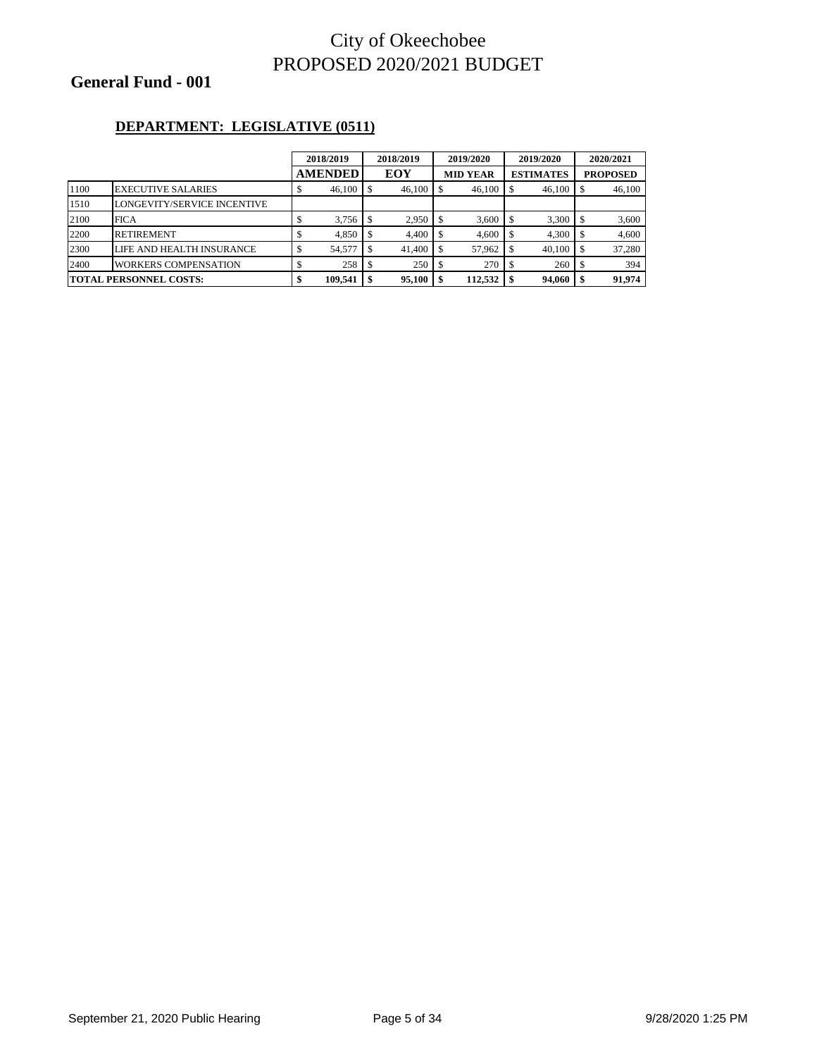### **General Fund - 001**

### **DEPARTMENT: LEGISLATIVE (0511)**

|      |                               |  | 2018/2019<br><b>AMENDED</b> |    | 2018/2019 | 2019/2020 |                 | 2019/2020 |                  | 2020/2021       |
|------|-------------------------------|--|-----------------------------|----|-----------|-----------|-----------------|-----------|------------------|-----------------|
|      |                               |  |                             |    | EOY       |           | <b>MID YEAR</b> |           | <b>ESTIMATES</b> | <b>PROPOSED</b> |
| 1100 | <b>EXECUTIVE SALARIES</b>     |  | 46,100                      | N. | 46,100    | S         | 46,100          | -8        | 46,100           | 46,100          |
| 1510 | LONGEVITY/SERVICE INCENTIVE   |  |                             |    |           |           |                 |           |                  |                 |
| 2100 | <b>FICA</b>                   |  | 3,756                       | Ж  | 2.950     |           | 3.600           |           | 3.300            | 3.600           |
| 2200 | <b>RETIREMENT</b>             |  | 4,850                       | S  | 4.400     |           | 4.600           |           | 4.300            | 4.600           |
| 2300 | LIFE AND HEALTH INSURANCE     |  | 54,577                      |    | 41,400    | S         | 57,962          |           | 40,100           | 37,280          |
| 2400 | <b>WORKERS COMPENSATION</b>   |  | 258                         |    | 250       | S         | 270             |           | 260              | 394             |
|      | <b>TOTAL PERSONNEL COSTS:</b> |  | 109.541                     |    | 95.100    |           | 112,532         |           | 94,060           | 91.974          |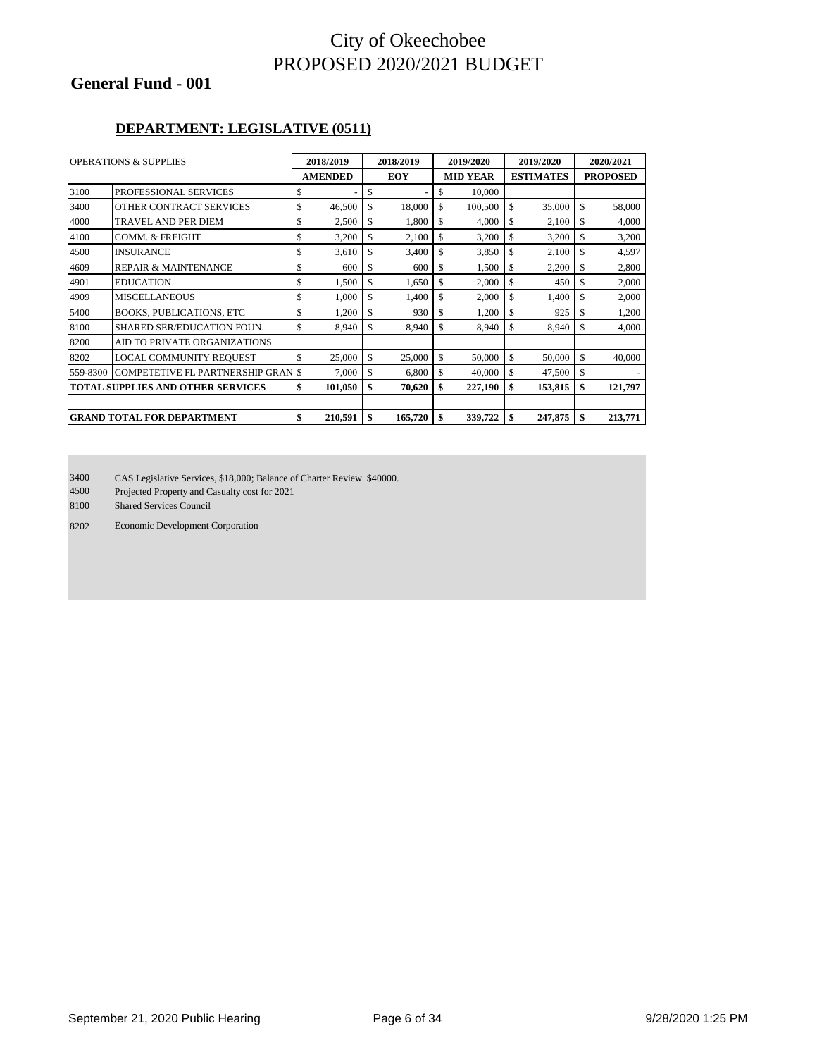### **General Fund - 001**

### **DEPARTMENT: LEGISLATIVE (0511)**

| <b>OPERATIONS &amp; SUPPLIES</b> |                                          | 2018/2019 |                |     | 2018/2019  | 2019/2020       | 2019/2020     |                  | 2020/2021       |
|----------------------------------|------------------------------------------|-----------|----------------|-----|------------|-----------------|---------------|------------------|-----------------|
|                                  |                                          |           | <b>AMENDED</b> |     | <b>EOY</b> | <b>MID YEAR</b> |               | <b>ESTIMATES</b> | <b>PROPOSED</b> |
| 3100                             | PROFESSIONAL SERVICES                    | \$        |                | S   |            | \$<br>10.000    |               |                  |                 |
| 3400                             | OTHER CONTRACT SERVICES                  | \$        | 46,500         | \$  | 18,000     | \$<br>100,500   | <sup>\$</sup> | 35,000           | \$<br>58,000    |
| 4000                             | TRAVEL AND PER DIEM                      | \$        | 2,500          | \$  | 1,800      | \$<br>4,000     | S             | 2,100            | \$<br>4,000     |
| 4100                             | COMM. & FREIGHT                          | \$        | 3,200          | \$  | 2,100      | \$<br>3,200     | S             | 3,200            | \$<br>3,200     |
| 4500                             | <b>INSURANCE</b>                         | \$        | 3,610          | \$  | 3,400      | \$<br>3,850     | S             | 2,100            | \$<br>4,597     |
| 4609                             | <b>REPAIR &amp; MAINTENANCE</b>          | \$        | 600            | \$  | 600        | \$<br>1,500     | S             | 2,200            | \$<br>2,800     |
| 4901                             | <b>EDUCATION</b>                         | \$        | 1,500          | \$  | 1,650      | \$<br>2,000     | \$            | 450              | \$<br>2,000     |
| 4909                             | <b>MISCELLANEOUS</b>                     | \$        | 1.000          | \$  | 1,400      | \$<br>2,000     | \$            | 1,400            | \$<br>2,000     |
| 5400                             | BOOKS, PUBLICATIONS, ETC                 | \$        | 1,200          | \$  | 930        | \$<br>1,200     | \$            | 925              | \$<br>1,200     |
| 8100                             | <b>SHARED SER/EDUCATION FOUN.</b>        | \$        | 8,940          | \$  | 8,940      | \$<br>8,940     | \$            | 8,940            | \$<br>4,000     |
| 8200                             | AID TO PRIVATE ORGANIZATIONS             |           |                |     |            |                 |               |                  |                 |
| 8202                             | LOCAL COMMUNITY REQUEST                  | \$        | 25,000         | \$  | 25,000     | \$<br>50,000    | \$            | 50,000           | \$<br>40,000    |
| 559-8300                         | COMPETETIVE FL PARTNERSHIP GRAN          | \$        | 7.000          | \$. | 6.800      | \$<br>40,000    | S             | 47,500           | \$              |
|                                  | <b>TOTAL SUPPLIES AND OTHER SERVICES</b> | \$        | 101,050        | \$  | 70,620     | \$<br>227,190   | \$            | 153,815          | \$<br>121,797   |
|                                  |                                          |           |                |     |            |                 |               |                  |                 |
|                                  | <b>GRAND TOTAL FOR DEPARTMENT</b>        | \$        | 210,591        | \$  | 165,720    | \$<br>339,722   | \$            | 247,875          | \$<br>213,771   |

3400<br>4500 CAS Legislative Services, \$18,000; Balance of Charter Review \$40000.

4500 Projected Property and Casualty cost for 2021

8100 Shared Services Council

8202 Economic Development Corporation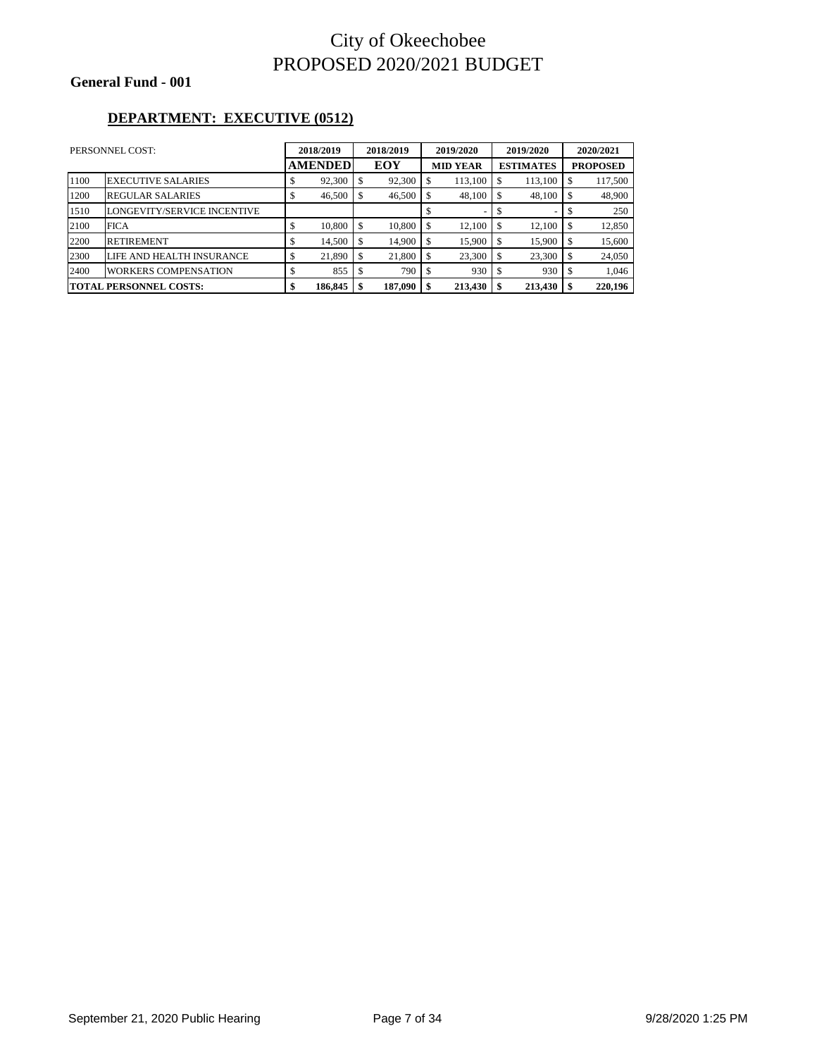#### **General Fund - 001**

#### **DEPARTMENT: EXECUTIVE (0512)**

| PERSONNEL COST: |                               | 2018/2019 |                | 2018/2019 |         | 2019/2020 |                 | 2019/2020 |                  |     | 2020/2021       |
|-----------------|-------------------------------|-----------|----------------|-----------|---------|-----------|-----------------|-----------|------------------|-----|-----------------|
|                 |                               |           | <b>AMENDED</b> |           | EOY     |           | <b>MID YEAR</b> |           | <b>ESTIMATES</b> |     | <b>PROPOSED</b> |
| 1100            | <b>EXECUTIVE SALARIES</b>     | ъ         | 92,300         |           | 92,300  |           | 113,100         | S         | 113,100          | \$. | 117,500         |
| 1200            | <b>REGULAR SALARIES</b>       | S         | 46,500         |           | 46,500  |           | 48,100          | -S        | 48,100           | S   | 48,900          |
| 1510            | LONGEVITY/SERVICE INCENTIVE   |           |                |           |         |           |                 |           |                  |     | 250             |
| 2100            | <b>FICA</b>                   |           | 10,800         |           | 10,800  |           | 12,100          |           | 12.100           | S   | 12,850          |
| 2200            | <b>RETIREMENT</b>             |           | 14.500         |           | 14,900  | <b>S</b>  | 15,900          | \$.       | 15,900           | S   | 15,600          |
| 2300            | LIFE AND HEALTH INSURANCE     |           | 21,890         |           | 21,800  |           | 23,300          |           | 23,300           | S   | 24,050          |
| 2400            | <b>WORKERS COMPENSATION</b>   |           | 855            |           | 790     |           | 930             | £.        | 930              | S   | 1.046           |
|                 | <b>TOTAL PERSONNEL COSTS:</b> | \$        | 186,845        |           | 187,090 |           | 213,430         |           | 213,430          | \$  | 220,196         |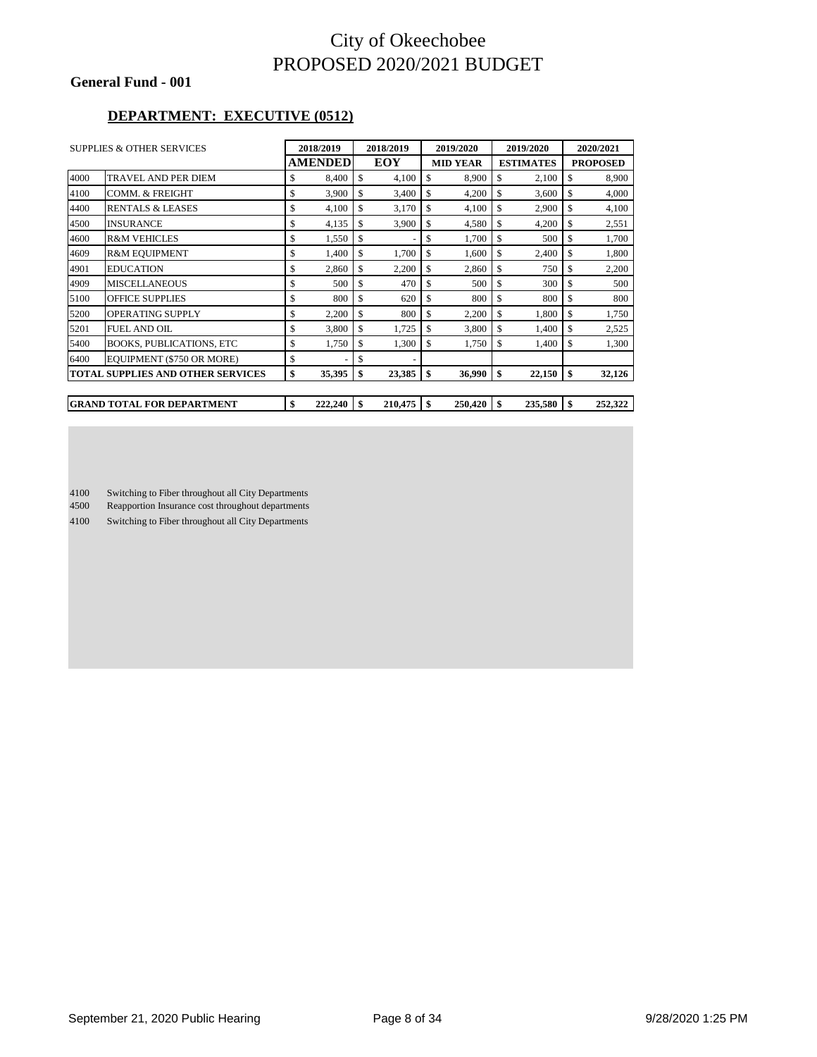#### **General Fund - 001**

#### **DEPARTMENT: EXECUTIVE (0512)**

|      | <b>SUPPLIES &amp; OTHER SERVICES</b>     |    | 2018/2019      |    | 2018/2019  |    | 2019/2020       |               | 2019/2020        |                    | 2020/2021       |
|------|------------------------------------------|----|----------------|----|------------|----|-----------------|---------------|------------------|--------------------|-----------------|
|      |                                          |    | <b>AMENDED</b> |    | <b>EOY</b> |    | <b>MID YEAR</b> |               | <b>ESTIMATES</b> |                    | <b>PROPOSED</b> |
| 4000 | <b>TRAVEL AND PER DIEM</b>               | \$ | 8,400          | \$ | 4,100      | \$ | 8,900           | \$            | 2,100            | S                  | 8,900           |
| 4100 | <b>COMM. &amp; FREIGHT</b>               | \$ | 3,900          | \$ | 3,400      | \$ | 4,200           | \$            | 3,600            | \$                 | 4,000           |
| 4400 | <b>RENTALS &amp; LEASES</b>              | \$ | 4,100          | \$ | 3,170      | \$ | 4,100           | \$            | 2,900            | \$                 | 4,100           |
| 4500 | <b>INSURANCE</b>                         | \$ | 4,135          | \$ | 3,900      | \$ | 4,580           | <sup>\$</sup> | 4,200            | <sup>\$</sup>      | 2,551           |
| 4600 | <b>R&amp;M VEHICLES</b>                  | \$ | 1,550          | \$ |            | \$ | 1,700           | <sup>\$</sup> | 500              | \$                 | 1,700           |
| 4609 | <b>R&amp;M EQUIPMENT</b>                 | \$ | 1,400          | \$ | 1.700      | \$ | 1,600           | <sup>\$</sup> | 2,400            | $\mathbf{\hat{S}}$ | 1,800           |
| 4901 | <b>EDUCATION</b>                         | \$ | 2,860          | \$ | 2,200      | \$ | 2,860           | \$            | 750              | \$                 | 2,200           |
| 4909 | <b>MISCELLANEOUS</b>                     | \$ | 500            | \$ | 470        | \$ | 500             | \$            | 300              | \$                 | 500             |
| 5100 | <b>OFFICE SUPPLIES</b>                   | \$ | 800            | \$ | 620        | \$ | 800             | \$            | 800              | \$                 | 800             |
| 5200 | <b>OPERATING SUPPLY</b>                  | \$ | 2,200          | \$ | 800        | \$ | 2,200           | \$            | 1,800            | \$                 | 1,750           |
| 5201 | <b>FUEL AND OIL</b>                      | \$ | 3,800          | \$ | 1,725      | \$ | 3,800           | \$            | 1,400            | \$                 | 2,525           |
| 5400 | <b>BOOKS, PUBLICATIONS, ETC</b>          | \$ | 1,750          | \$ | 1,300      | \$ | 1,750           | \$            | 1,400            | \$                 | 1,300           |
| 6400 | EQUIPMENT (\$750 OR MORE)                | \$ |                | \$ |            |    |                 |               |                  |                    |                 |
|      | <b>TOTAL SUPPLIES AND OTHER SERVICES</b> | \$ | 35,395         | \$ | 23,385     | \$ | 36,990          | \$            | 22,150           | \$                 | 32,126          |
|      |                                          |    |                |    |            |    |                 |               |                  |                    |                 |
|      | <b>GRAND TOTAL FOR DEPARTMENT</b>        | \$ | 222,240        | \$ | 210,475    | \$ | 250,420         | \$            | 235,580          | \$                 | 252,322         |

4100 Switching to Fiber throughout all City Departments<br>4500 Reapportion Insurance cost throughout departments

Reapportion Insurance cost throughout departments

4100 Switching to Fiber throughout all City Departments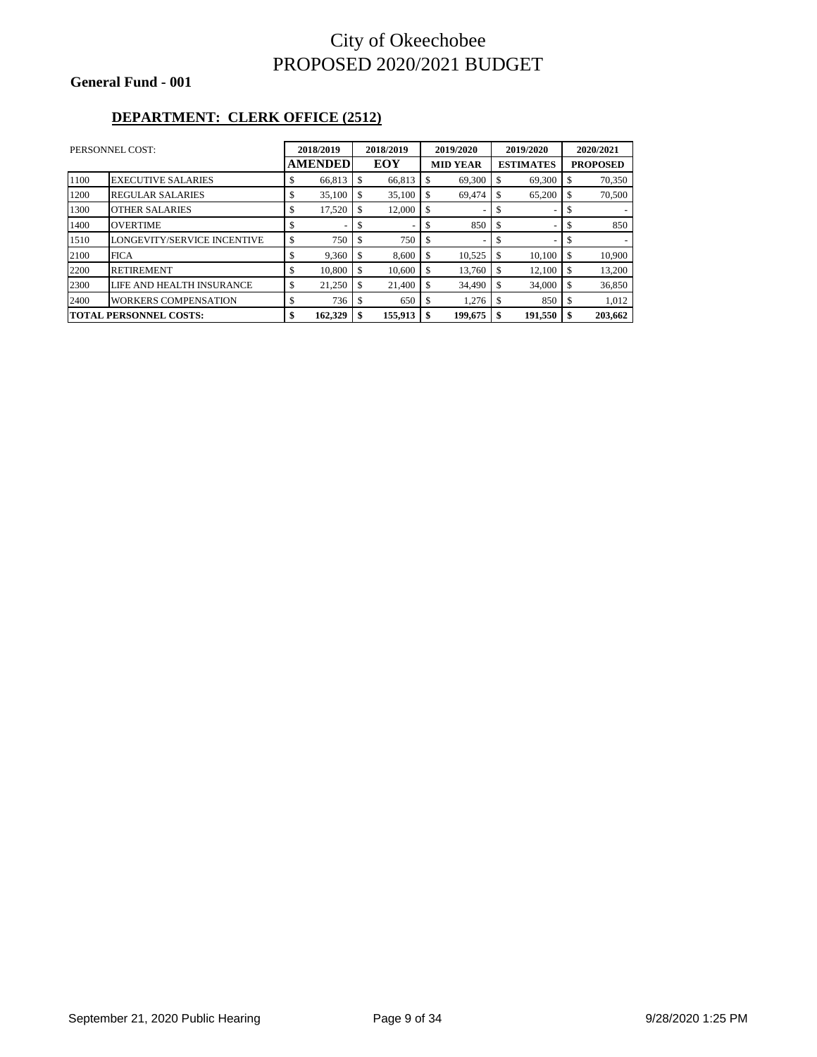#### **General Fund - 001**

#### **DEPARTMENT: CLERK OFFICE (2512)**

|      | PERSONNEL COST:               |     | 2018/2019      |          | 2018/2019  | 2019/2020       |     | 2019/2020        |    | 2020/2021       |
|------|-------------------------------|-----|----------------|----------|------------|-----------------|-----|------------------|----|-----------------|
|      |                               |     | <b>AMENDED</b> |          | <b>EOY</b> | <b>MID YEAR</b> |     | <b>ESTIMATES</b> |    | <b>PROPOSED</b> |
| 1100 | <b>EXECUTIVE SALARIES</b>     |     | 66,813         | <b>S</b> | 66,813     | 69,300          | \$. | 69,300           | S  | 70,350          |
| 1200 | <b>REGULAR SALARIES</b>       |     | 35,100         | \$.      | 35,100     | 69,474          | \$. | 65,200           | S  | 70,500          |
| 1300 | <b>OTHER SALARIES</b>         |     | 17,520         |          | 12,000     |                 |     |                  | \$ |                 |
| 1400 | <b>OVERTIME</b>               |     |                |          |            | 850             |     |                  | \$ | 850             |
| 1510 | LONGEVITY/SERVICE INCENTIVE   |     | 750            | \$       | 750        |                 | \$. |                  | \$ |                 |
| 2100 | <b>FICA</b>                   |     | 9.360          | \$.      | 8.600      | 10,525          | \$. | 10.100           | S  | 10,900          |
| 2200 | <b>RETIREMENT</b>             |     | 10.800         | S        | 10,600     | 13,760          | -S  | 12.100           | S  | 13,200          |
| 2300 | LIFE AND HEALTH INSURANCE     | \$. | 21,250         | \$       | 21,400     | 34,490          | \$. | 34,000           | S  | 36,850          |
| 2400 | <b>WORKERS COMPENSATION</b>   |     | 736            |          | 650        | 1,276           | \$  | 850              | \$ | 1,012           |
|      | <b>TOTAL PERSONNEL COSTS:</b> | \$  | 162,329        |          | 155,913    | 199,675         |     | 191,550          | \$ | 203,662         |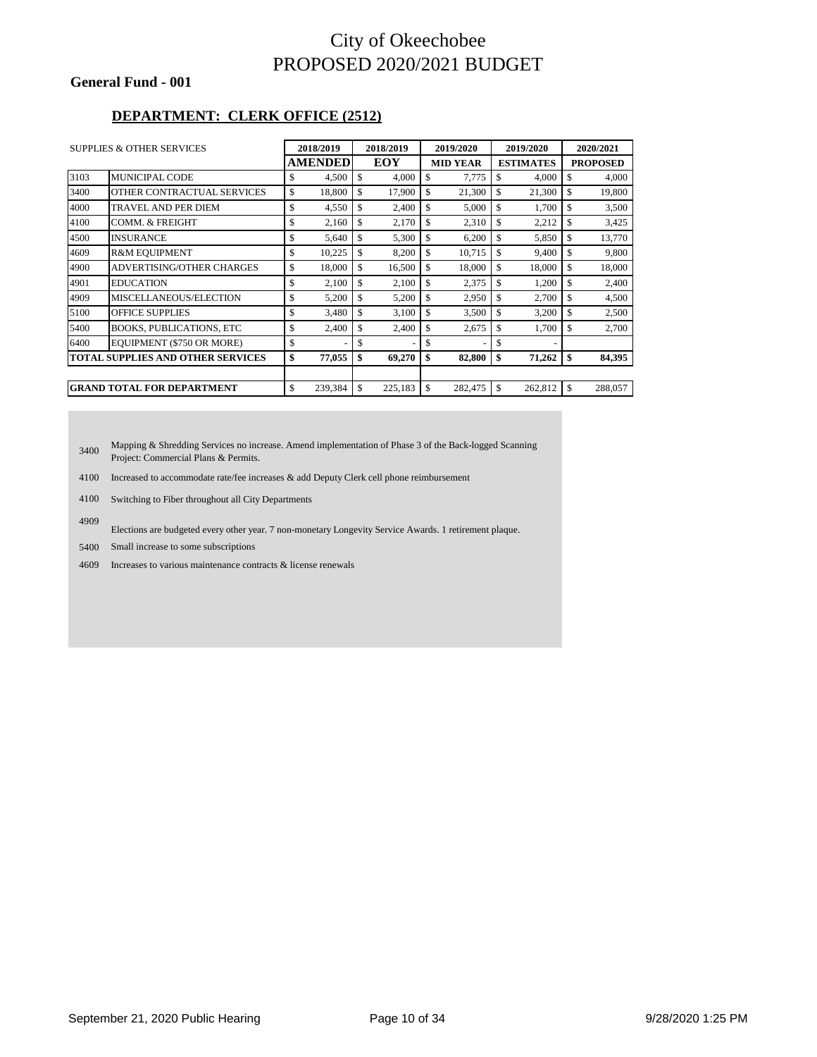#### **General Fund - 001**

#### **DEPARTMENT: CLERK OFFICE (2512)**

|      | <b>SUPPLIES &amp; OTHER SERVICES</b>     |    | 2018/2019      | 2018/2019     |    | 2019/2020       |               | 2019/2020        | 2020/2021       |
|------|------------------------------------------|----|----------------|---------------|----|-----------------|---------------|------------------|-----------------|
|      |                                          |    | <b>AMENDED</b> | <b>EOY</b>    |    | <b>MID YEAR</b> |               | <b>ESTIMATES</b> | <b>PROPOSED</b> |
| 3103 | <b>MUNICIPAL CODE</b>                    | \$ | 4,500          | \$<br>4,000   | S  | 7,775           | <sup>\$</sup> | 4,000            | \$<br>4,000     |
| 3400 | OTHER CONTRACTUAL SERVICES               | \$ | 18.800         | \$<br>17,900  | \$ | 21,300          | $\mathcal{S}$ | 21,300           | \$<br>19,800    |
| 4000 | TRAVEL AND PER DIEM                      | \$ | 4,550          | \$<br>2,400   | \$ | 5,000           | \$            | 1.700            | \$<br>3,500     |
| 4100 | COMM. & FREIGHT                          | \$ | 2.160          | \$<br>2,170   | \$ | 2,310           | <sup>\$</sup> | 2,212            | \$<br>3,425     |
| 4500 | <b>INSURANCE</b>                         | \$ | 5,640          | \$<br>5,300   | \$ | 6,200           | \$            | 5,850            | \$<br>13,770    |
| 4609 | R&M EQUIPMENT                            | \$ | 10,225         | \$<br>8,200   | \$ | 10,715          | \$            | 9,400            | \$<br>9,800     |
| 4900 | <b>ADVERTISING/OTHER CHARGES</b>         | \$ | 18,000         | \$<br>16,500  | \$ | 18,000          | \$            | 18,000           | \$<br>18,000    |
| 4901 | <b>EDUCATION</b>                         | \$ | 2,100          | \$<br>2,100   | \$ | 2,375           | \$            | 1,200            | \$<br>2,400     |
| 4909 | MISCELLANEOUS/ELECTION                   | \$ | 5,200          | \$<br>5,200   | \$ | 2,950           | \$            | 2.700            | \$<br>4,500     |
| 5100 | <b>OFFICE SUPPLIES</b>                   | \$ | 3.480          | \$<br>3,100   | \$ | 3,500           | \$            | 3.200            | \$<br>2,500     |
| 5400 | <b>BOOKS, PUBLICATIONS, ETC</b>          | \$ | 2,400          | \$<br>2,400   | \$ | 2,675           | $\mathcal{S}$ | 1.700            | \$<br>2,700     |
| 6400 | EQUIPMENT (\$750 OR MORE)                | \$ |                | \$            | \$ |                 | \$.           |                  |                 |
|      | <b>TOTAL SUPPLIES AND OTHER SERVICES</b> | \$ | 77,055         | \$<br>69,270  | \$ | 82,800          | -\$           | 71,262           | \$<br>84,395    |
|      |                                          |    |                |               |    |                 |               |                  |                 |
|      | <b>GRAND TOTAL FOR DEPARTMENT</b>        | \$ | 239,384        | \$<br>225,183 | \$ | 282,475         | \$            | 262,812          | \$<br>288,057   |

3400 Mapping & Shredding Services no increase. Amend implementation of Phase 3 of the Back-logged Scanning Project: Commercial Plans & Permits.

4100 Increased to accommodate rate/fee increases & add Deputy Clerk cell phone reimbursement

4100 Switching to Fiber throughout all City Departments

4909

Elections are budgeted every other year. 7 non-monetary Longevity Service Awards. 1 retirement plaque.

5400 Small increase to some subscriptions

4609 Increases to various maintenance contracts & license renewals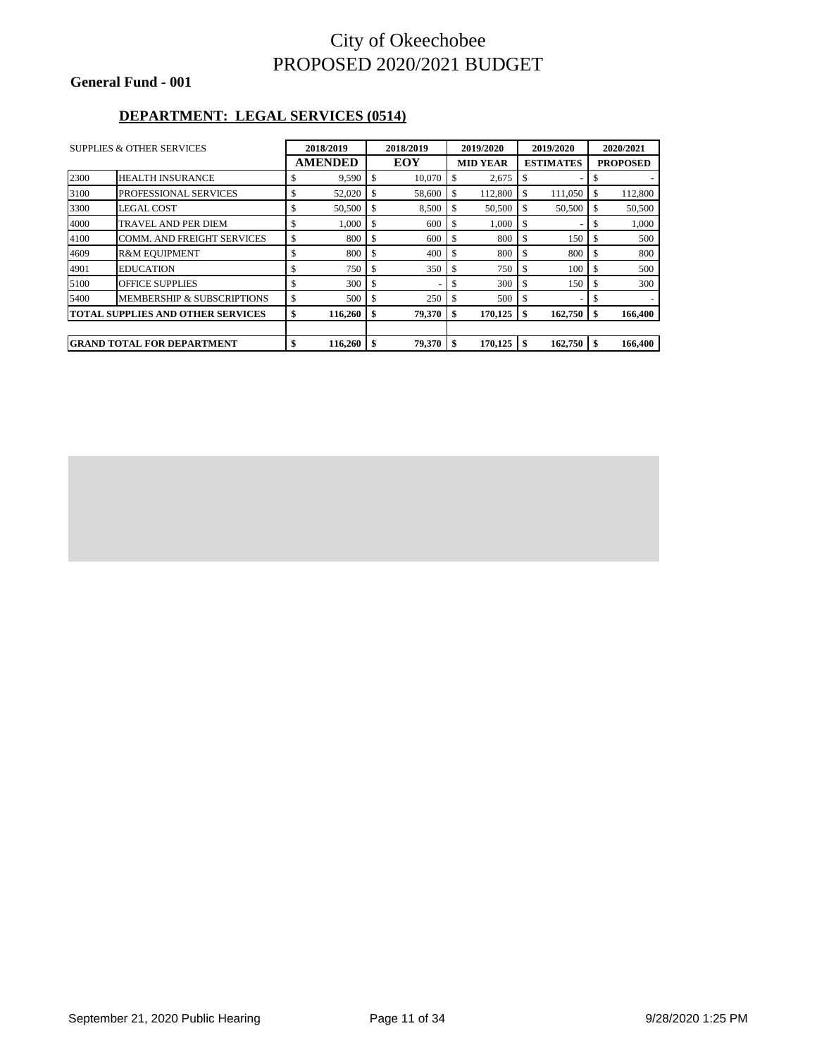#### **General Fund - 001**

### **DEPARTMENT: LEGAL SERVICES (0514)**

|      | SUPPLIES & OTHER SERVICES                |    | 2018/2019      |               | 2018/2019 |     | 2019/2020       | 2019/2020        |      | 2020/2021       |
|------|------------------------------------------|----|----------------|---------------|-----------|-----|-----------------|------------------|------|-----------------|
|      |                                          |    | <b>AMENDED</b> |               | EOY       |     | <b>MID YEAR</b> | <b>ESTIMATES</b> |      | <b>PROPOSED</b> |
| 2300 | <b>HEALTH INSURANCE</b>                  | ъ  | 9,590          | \$.           | 10.070    | \$. | 2,675           |                  | S    |                 |
| 3100 | PROFESSIONAL SERVICES                    | \$ | 52,020         | -S            | 58,600    | \$  | 112,800         | 111.050          | -S   | 112,800         |
| 3300 | <b>LEGAL COST</b>                        | S  | 50,500         | -S            | 8,500     | \$. | 50,500          | 50,500           | -\$  | 50,500          |
| 4000 | <b>TRAVEL AND PER DIEM</b>               | \$ | 1,000          | <sup>\$</sup> | 600       | \$  | 1,000           |                  | S    | 1,000           |
| 4100 | COMM. AND FREIGHT SERVICES               | J. | 800            | S             | 600       | \$  | 800             | 150              | -\$  | 500             |
| 4609 | <b>R&amp;M EQUIPMENT</b>                 | S  | 800            | \$.           | 400       | \$  | 800             | 800              | -S   | 800             |
| 4901 | <b>EDUCATION</b>                         | \$ | 750            | \$.           | 350       | \$  | 750             | 100              | -S   | 500             |
| 5100 | <b>OFFICE SUPPLIES</b>                   | \$ | 300            | S             |           | \$  | 300             | 150              | \$   | 300             |
| 5400 | <b>MEMBERSHIP &amp; SUBSCRIPTIONS</b>    | S  | 500            | -S            | 250       | \$. | 500             |                  | S    |                 |
|      | <b>TOTAL SUPPLIES AND OTHER SERVICES</b> | \$ | 116,260        |               | 79.370    | \$  | 170,125         | 162,750          | l \$ | 166,400         |
|      |                                          |    |                |               |           |     |                 |                  |      |                 |
|      | <b>GRAND TOTAL FOR DEPARTMENT</b>        |    | 116.260        |               | 79.370    | \$  | 170.125         | 162,750          | l \$ | 166,400         |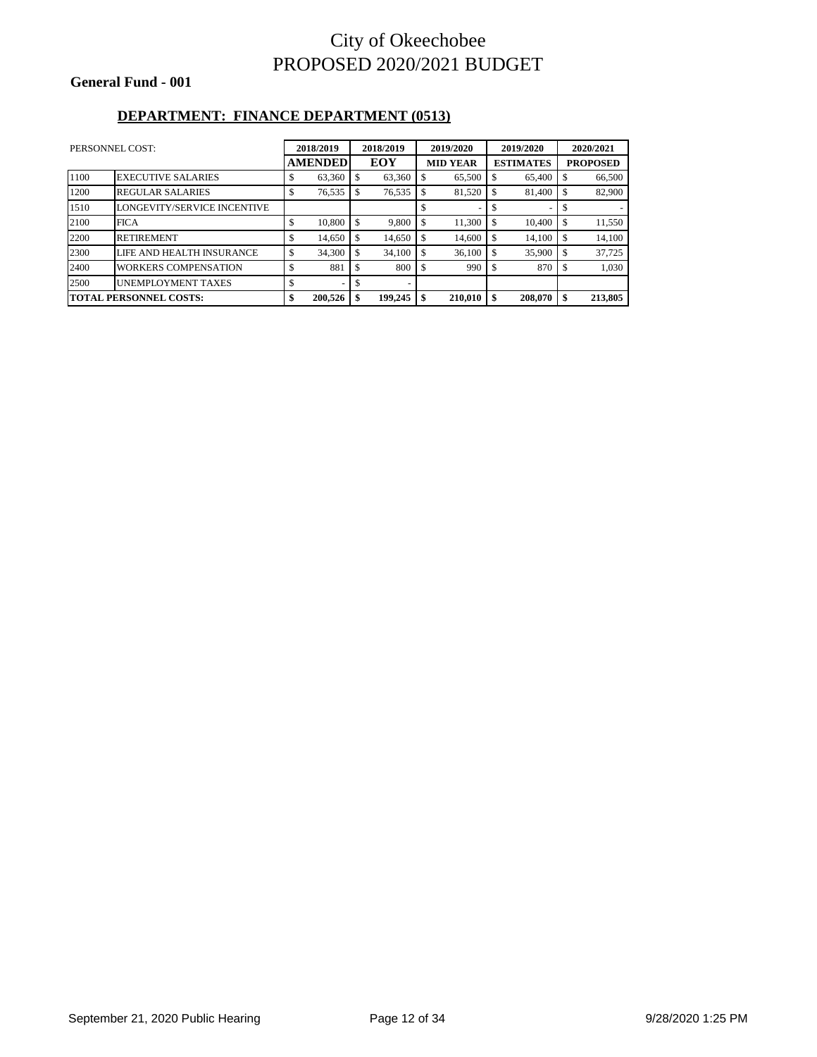#### **General Fund - 001**

### **DEPARTMENT: FINANCE DEPARTMENT (0513)**

|      | PERSONNEL COST:               |     | 2018/2019      |   | 2018/2019 |    | 2019/2020       | 2019/2020 |                  |   | 2020/2021       |
|------|-------------------------------|-----|----------------|---|-----------|----|-----------------|-----------|------------------|---|-----------------|
|      |                               |     | <b>AMENDED</b> |   | EOY       |    | <b>MID YEAR</b> |           | <b>ESTIMATES</b> |   | <b>PROPOSED</b> |
| 1100 | <b>EXECUTIVE SALARIES</b>     | S.  | 63.360         |   | 63,360    | \$ | 65,500          |           | 65,400           | э | 66,500          |
| 1200 | <b>REGULAR SALARIES</b>       | \$  | 76,535         |   | 76,535    | \$ | 81,520          |           | 81,400           | э | 82,900          |
| 1510 | LONGEVITY/SERVICE INCENTIVE   |     |                |   |           | \$ |                 |           |                  | ъ |                 |
| 2100 | <b>FICA</b>                   | \$. | 10,800         | S | 9.800     | \$ | 11.300          |           | 10.400           | S | 11,550          |
| 2200 | <b>RETIREMENT</b>             | S   | 14.650         |   | 14.650    | \$ | 14.600          |           | 14.100           | ъ | 14.100          |
| 2300 | LIFE AND HEALTH INSURANCE     | S   | 34,300         |   | 34.100    | \$ | 36,100          |           | 35,900           | ъ | 37,725          |
| 2400 | <b>WORKERS COMPENSATION</b>   | \$  | 881            |   | 800       | \$ | 990             |           | 870              | ъ | 1,030           |
| 2500 | <b>UNEMPLOYMENT TAXES</b>     | \$  |                |   |           |    |                 |           |                  |   |                 |
|      | <b>TOTAL PERSONNEL COSTS:</b> | \$  | 200,526        |   | 199.245   | \$ | 210,010         |           | 208,070          | Ф | 213.805         |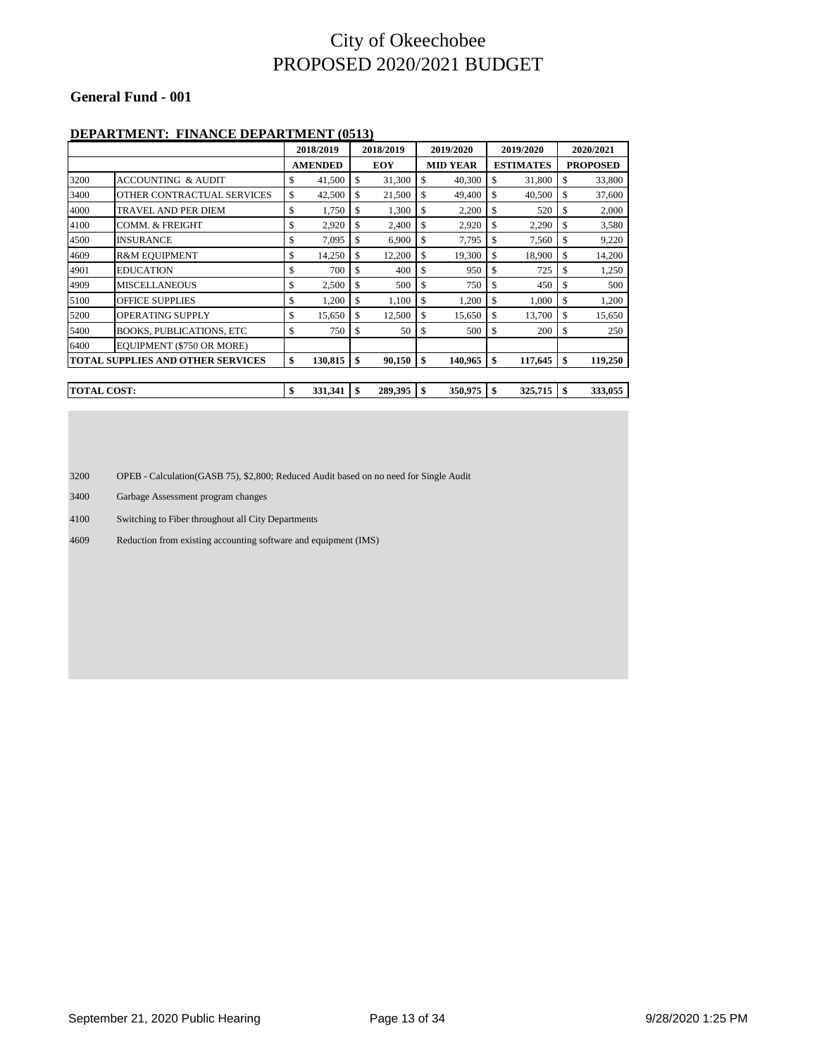#### **General Fund - 001**

#### **DEPARTMENT: FINANCE DEPARTMENT (0513)**

|                    |                                          | 2018/2019      |               | 2018/2019  |    | 2019/2020       | 2019/2020        |     | 2020/2021       |
|--------------------|------------------------------------------|----------------|---------------|------------|----|-----------------|------------------|-----|-----------------|
|                    |                                          | <b>AMENDED</b> |               | <b>EOY</b> |    | <b>MID YEAR</b> | <b>ESTIMATES</b> |     | <b>PROPOSED</b> |
| 3200               | <b>ACCOUNTING &amp; AUDIT</b>            | \$<br>41,500   | <sup>\$</sup> | 31,300     | S  | 40,300          | \$<br>31,800     | S   | 33,800          |
| 3400               | OTHER CONTRACTUAL SERVICES               | \$<br>42,500   | \$            | 21,500     | \$ | 49,400          | \$<br>40,500     | \$  | 37,600          |
| 4000               | TRAVEL AND PER DIEM                      | \$<br>1,750    | \$            | 1,300      | \$ | 2,200           | \$<br>520        | \$  | 2,000           |
| 4100               | <b>COMM. &amp; FREIGHT</b>               | \$<br>2,920    | \$.           | 2,400      | \$ | 2,920           | \$<br>2,290      | \$  | 3,580           |
| 4500               | <b>INSURANCE</b>                         | \$<br>7,095    | \$            | 6,900      | \$ | 7,795           | \$<br>7,560      | \$  | 9,220           |
| 4609               | <b>R&amp;M EQUIPMENT</b>                 | \$<br>14,250   | \$            | 12,200     | \$ | 19,300          | \$<br>18,900     | \$  | 14,200          |
| 4901               | <b>EDUCATION</b>                         | \$<br>700      | \$            | 400        | \$ | 950             | \$<br>725        | \$  | 1,250           |
| 4909               | <b>MISCELLANEOUS</b>                     | \$<br>2,500    | \$            | 500        | \$ | 750             | \$<br>450        | \$  | 500             |
| 5100               | <b>OFFICE SUPPLIES</b>                   | \$<br>1,200    | <sup>\$</sup> | 1,100      | \$ | 1,200           | \$<br>1,000      | \$  | 1,200           |
| 5200               | OPERATING SUPPLY                         | \$<br>15,650   | \$            | 12,500     | \$ | 15,650          | \$<br>13,700     | \$. | 15,650          |
| 5400               | <b>BOOKS, PUBLICATIONS, ETC</b>          | \$<br>750      | <sup>\$</sup> | 50         | -S | 500             | \$<br>200        | \$  | 250             |
| 6400               | EQUIPMENT (\$750 OR MORE)                |                |               |            |    |                 |                  |     |                 |
|                    | <b>TOTAL SUPPLIES AND OTHER SERVICES</b> | \$<br>130,815  | -\$           | 90,150     | \$ | 140,965         | \$<br>117,645    | \$  | 119,250         |
|                    |                                          |                |               |            |    |                 |                  |     |                 |
| <b>TOTAL COST:</b> |                                          | \$<br>331,341  | \$            | 289,395    | \$ | 350,975         | \$<br>325,715    | \$  | 333,055         |

3200 OPEB - Calculation(GASB 75), \$2,800; Reduced Audit based on no need for Single Audit

- 3400 Garbage Assessment program changes
- 4100 Switching to Fiber throughout all City Departments
- 4609 Reduction from existing accounting software and equipment (IMS)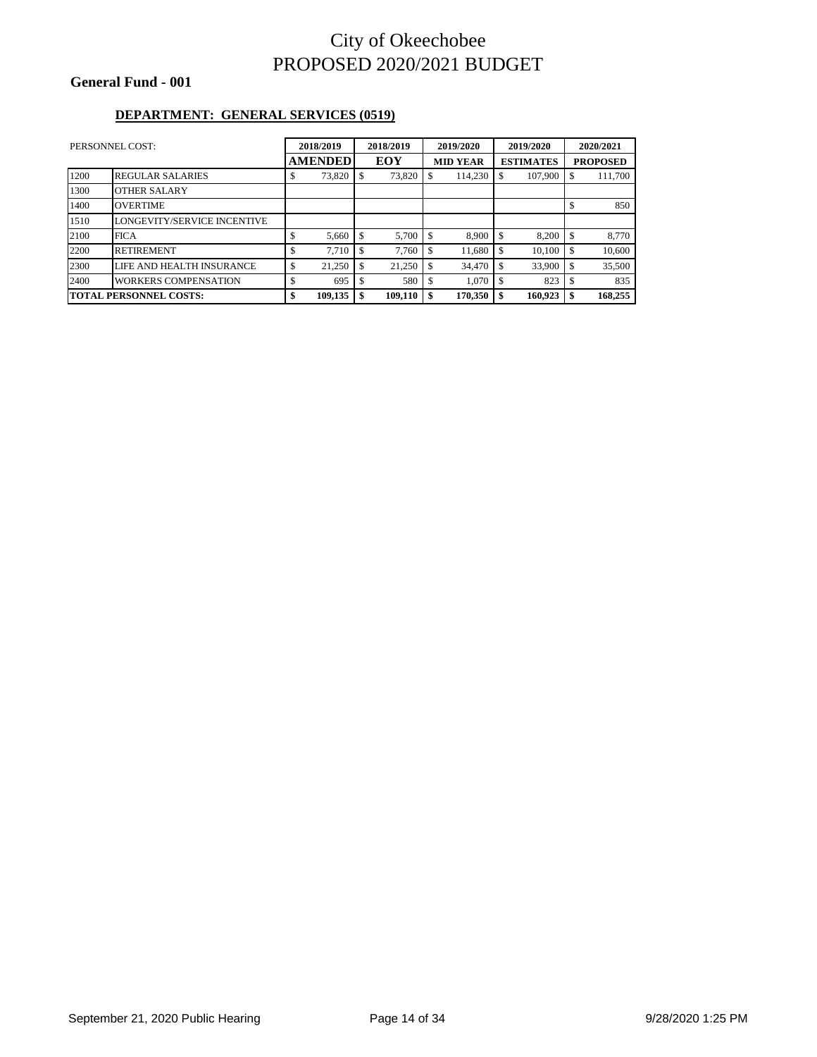#### **General Fund - 001**

### **DEPARTMENT: GENERAL SERVICES (0519)**

|      | PERSONNEL COST:               |  | 2018/2019      |          | 2018/2019  |    | 2019/2020       |    | 2019/2020        |    | 2020/2021       |
|------|-------------------------------|--|----------------|----------|------------|----|-----------------|----|------------------|----|-----------------|
|      |                               |  | <b>AMENDED</b> |          | <b>EOY</b> |    | <b>MID YEAR</b> |    | <b>ESTIMATES</b> |    | <b>PROPOSED</b> |
| 1200 | <b>REGULAR SALARIES</b>       |  | 73,820         |          | 73,820     |    | 114,230         |    | 107,900          | \$ | 111,700         |
| 1300 | <b>OTHER SALARY</b>           |  |                |          |            |    |                 |    |                  |    |                 |
| 1400 | <b>OVERTIME</b>               |  |                |          |            |    |                 |    |                  | \$ | 850             |
| 1510 | LONGEVITY/SERVICE INCENTIVE   |  |                |          |            |    |                 |    |                  |    |                 |
| 2100 | <b>FICA</b>                   |  | 5.660          | <b>S</b> | 5.700      | £. | 8.900           | S  | 8.200            | \$ | 8,770           |
| 2200 | <b>RETIREMENT</b>             |  | 7.710          |          | 7.760      | S  | 11.680          |    | 10.100           | \$ | 10,600          |
| 2300 | LIFE AND HEALTH INSURANCE     |  | 21,250         |          | 21.250     |    | 34,470          | \$ | 33,900           | \$ | 35,500          |
| 2400 | <b>WORKERS COMPENSATION</b>   |  | 695            | \$.      | 580        | S  | 1.070           |    | 823              | S  | 835             |
|      | <b>TOTAL PERSONNEL COSTS:</b> |  | 109.135        |          | 109.110    |    | 170.350         |    | 160.923          | \$ | 168,255         |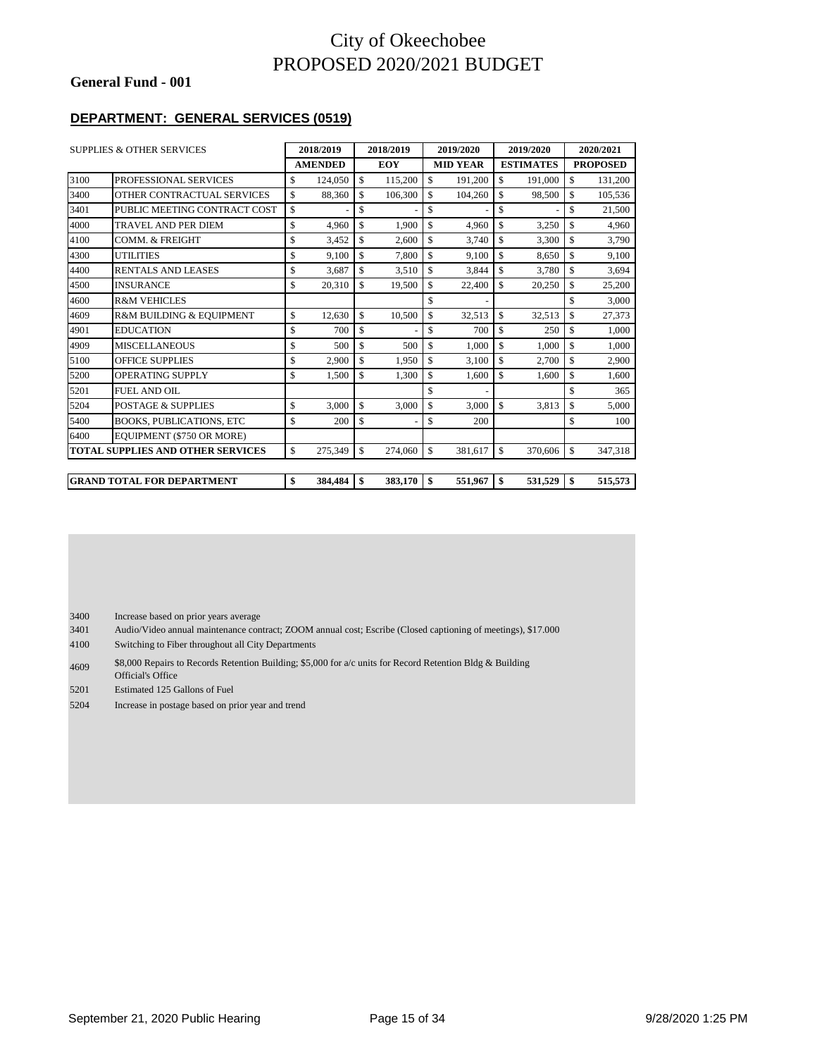#### **General Fund - 001**

#### **DEPARTMENT: GENERAL SERVICES (0519)**

| OTHER CONTRACTUAL SERVICES | \$                                                                                                   | <b>AMENDED</b><br>124,050                                                              |               | <b>EOY</b>              |                    | <b>MID YEAR</b> |                    |                  |         |                 |
|----------------------------|------------------------------------------------------------------------------------------------------|----------------------------------------------------------------------------------------|---------------|-------------------------|--------------------|-----------------|--------------------|------------------|---------|-----------------|
|                            |                                                                                                      |                                                                                        |               |                         |                    |                 |                    | <b>ESTIMATES</b> |         | <b>PROPOSED</b> |
|                            |                                                                                                      |                                                                                        | \$            | 115,200                 | \$                 | 191,200         | \$                 | 191,000          | \$      | 131,200         |
|                            | \$                                                                                                   | 88,360                                                                                 | \$            | 106,300                 | $\mathbf{\hat{s}}$ | 104,260         | \$                 | 98,500           | \$      | 105,536         |
|                            |                                                                                                      |                                                                                        | \$            |                         | \$                 |                 | \$                 |                  | \$      | 21.500          |
|                            |                                                                                                      | 4.960                                                                                  | \$            | 1.900                   | \$                 | 4,960           | \$                 | 3,250            | \$      | 4,960           |
|                            |                                                                                                      | 3,452                                                                                  | $\mathcal{S}$ | 2.600                   | $\mathsf{\$}$      | 3.740           | \$                 | 3,300            | \$      | 3,790           |
|                            |                                                                                                      | 9.100                                                                                  | \$            | 7.800                   | $\mathcal{S}$      | 9.100           | $\mathcal{S}$      | 8.650            | \$      | 9.100           |
|                            |                                                                                                      | 3,687                                                                                  | \$            | 3,510                   | $\mathcal{S}$      | 3,844           | \$                 | 3,780            | \$      | 3,694           |
|                            |                                                                                                      | 20.310                                                                                 | \$            | 19.500                  | \$                 | 22,400          | \$                 | 20.250           | \$      | 25,200          |
|                            |                                                                                                      |                                                                                        |               |                         | \$                 |                 |                    |                  | \$      | 3.000           |
|                            |                                                                                                      | 12,630                                                                                 | $\mathcal{S}$ | 10.500                  | \$                 | 32,513          | \$                 | 32,513           | \$      | 27,373          |
|                            |                                                                                                      | 700                                                                                    | \$            |                         | \$                 | 700             | \$                 | 250              | \$      | 1.000           |
|                            |                                                                                                      | 500                                                                                    | \$            | 500                     | \$                 | 1.000           | \$                 | 1.000            | \$      | 1,000           |
|                            |                                                                                                      | 2.900                                                                                  | \$            | 1.950                   | \$                 | 3,100           | \$                 | 2.700            | \$      | 2,900           |
|                            |                                                                                                      | 1.500                                                                                  | \$            | 1.300                   | $\mathsf{\$}$      | 1.600           | $\mathbf{\hat{S}}$ | 1.600            | \$      | 1.600           |
|                            |                                                                                                      |                                                                                        |               |                         | \$                 |                 |                    |                  | \$      | 365             |
|                            |                                                                                                      | 3.000                                                                                  | $\mathcal{S}$ | 3.000                   | \$                 | 3.000           | \$                 | 3.813            | \$      | 5.000           |
|                            |                                                                                                      | 200                                                                                    | \$            |                         | \$                 | 200             |                    |                  | \$      | 100             |
|                            |                                                                                                      |                                                                                        |               |                         |                    |                 |                    |                  |         |                 |
|                            |                                                                                                      |                                                                                        | $\mathcal{S}$ | 274,060                 | $\mathbb{S}$       | 381,617         | \$                 | 370,606          | \$      | 347,318         |
|                            |                                                                                                      |                                                                                        |               |                         |                    |                 |                    |                  |         | 515,573         |
| EQUIPMENT (\$750 OR MORE)  | PUBLIC MEETING CONTRACT COST<br>R&M BUILDING & EQUIPMENT<br><b>TOTAL SUPPLIES AND OTHER SERVICES</b> | \$<br>\$<br>\$<br>\$<br>\$<br>\$<br>\$<br>\$<br>\$<br>\$<br>\$<br>\$<br>\$<br>\$<br>\$ | 275,349       | 384,484<br>$\mathbf{s}$ |                    | 383,170<br>-\$  | 551,967            | \$               | 531,529 | \$              |

Increase based on prior years average

- Audio/Video annual maintenance contract; ZOOM annual cost; Escribe (Closed captioning of meetings), \$17.000
- Switching to Fiber throughout all City Departments
- \$8,000 Repairs to Records Retention Building; \$5,000 for a/c units for Record Retention Bldg & Building Official's Office
- Estimated 125 Gallons of Fuel
- Increase in postage based on prior year and trend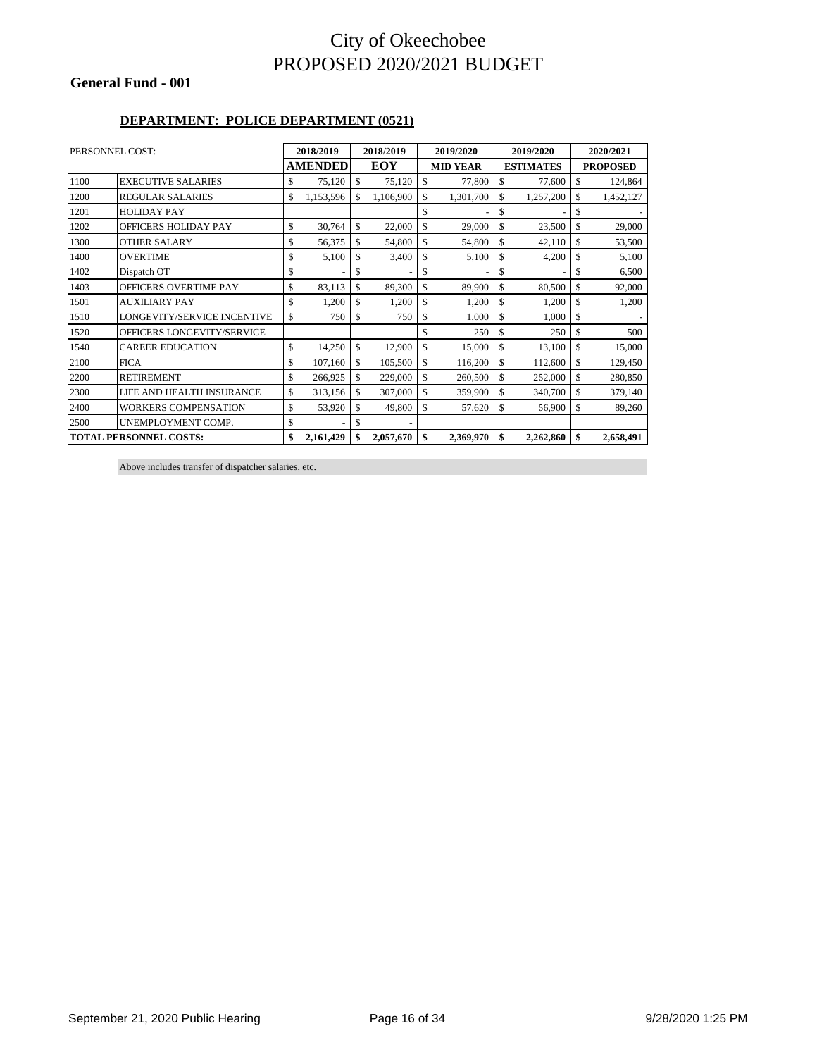#### **General Fund - 001**

#### **DEPARTMENT: POLICE DEPARTMENT (0521)**

| PERSONNEL COST: |                               | 2018/2019       | 2018/2019       | 2019/2020       | 2019/2020        | 2020/2021       |
|-----------------|-------------------------------|-----------------|-----------------|-----------------|------------------|-----------------|
|                 |                               | <b>AMENDED</b>  | <b>EOY</b>      | <b>MID YEAR</b> | <b>ESTIMATES</b> | <b>PROPOSED</b> |
| 1100            | <b>EXECUTIVE SALARIES</b>     | \$<br>75,120    | \$<br>75,120    | \$<br>77,800    | \$<br>77,600     | \$<br>124,864   |
| 1200            | <b>REGULAR SALARIES</b>       | \$<br>1,153,596 | \$<br>1,106,900 | \$<br>1,301,700 | \$<br>1,257,200  | \$<br>1,452,127 |
| 1201            | <b>HOLIDAY PAY</b>            |                 |                 | \$              | \$               | \$              |
| 1202            | OFFICERS HOLIDAY PAY          | \$<br>30,764    | \$<br>22,000    | \$<br>29,000    | \$<br>23,500     | \$<br>29,000    |
| 1300            | <b>OTHER SALARY</b>           | \$<br>56,375    | \$<br>54,800    | \$<br>54,800    | \$<br>42,110     | \$<br>53,500    |
| 1400            | <b>OVERTIME</b>               | \$<br>5,100     | \$<br>3,400     | \$<br>5,100     | \$<br>4,200      | \$<br>5,100     |
| 1402            | Dispatch OT                   | \$              | \$              | \$              | \$               | \$<br>6,500     |
| 1403            | OFFICERS OVERTIME PAY         | \$<br>83,113    | \$<br>89,300    | \$<br>89,900    | \$<br>80,500     | \$<br>92,000    |
| 1501            | <b>AUXILIARY PAY</b>          | \$<br>1,200     | \$<br>1,200     | \$<br>1,200     | \$<br>1,200      | \$<br>1,200     |
| 1510            | LONGEVITY/SERVICE INCENTIVE   | \$<br>750       | \$<br>750       | \$<br>1.000     | \$<br>1.000      | \$              |
| 1520            | OFFICERS LONGEVITY/SERVICE    |                 |                 | \$<br>250       | \$<br>250        | \$<br>500       |
| 1540            | <b>CAREER EDUCATION</b>       | \$<br>14,250    | \$<br>12,900    | \$<br>15,000    | \$<br>13,100     | \$<br>15,000    |
| 2100            | <b>FICA</b>                   | \$<br>107,160   | \$<br>105,500   | \$<br>116,200   | \$<br>112,600    | \$<br>129,450   |
| 2200            | <b>RETIREMENT</b>             | \$<br>266,925   | \$<br>229,000   | \$<br>260,500   | \$<br>252,000    | \$<br>280,850   |
| 2300            | LIFE AND HEALTH INSURANCE     | \$<br>313,156   | \$<br>307,000   | \$<br>359,900   | \$<br>340,700    | \$<br>379,140   |
| 2400            | <b>WORKERS COMPENSATION</b>   | \$<br>53,920    | \$<br>49,800    | \$<br>57,620    | \$<br>56,900     | \$<br>89,260    |
| 2500            | UNEMPLOYMENT COMP.            | \$              | \$              |                 |                  |                 |
|                 | <b>TOTAL PERSONNEL COSTS:</b> | \$<br>2,161,429 | \$<br>2,057,670 | \$<br>2,369,970 | \$<br>2,262,860  | \$<br>2,658,491 |

Above includes transfer of dispatcher salaries, etc.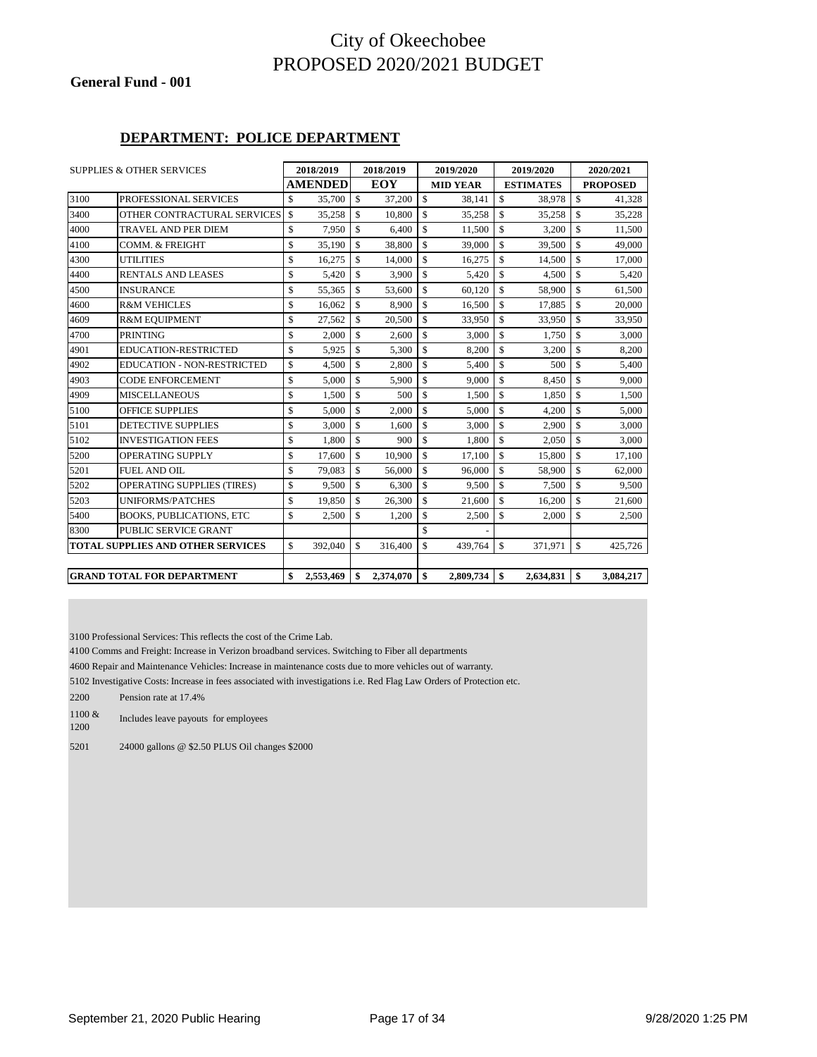**General Fund - 001**

#### **DEPARTMENT: POLICE DEPARTMENT**

| <b>SUPPLIES &amp; OTHER SERVICES</b> |                                   |              | 2018/2019      |                    | 2018/2019  | 2019/2020       |              | 2019/2020        |                    | 2020/2021       |
|--------------------------------------|-----------------------------------|--------------|----------------|--------------------|------------|-----------------|--------------|------------------|--------------------|-----------------|
|                                      |                                   |              | <b>AMENDED</b> |                    | <b>EOY</b> | <b>MID YEAR</b> |              | <b>ESTIMATES</b> |                    | <b>PROPOSED</b> |
| 3100                                 | PROFESSIONAL SERVICES             | \$           | 35,700         | \$                 | 37,200     | \$<br>38,141    | \$           | 38,978           | \$                 | 41,328          |
| 3400                                 | OTHER CONTRACTURAL SERVICES       | \$           | 35.258         | $\mathbb{S}$       | 10.800     | \$<br>35,258    | \$           | 35,258           | $\mathbb{S}$       | 35,228          |
| 4000                                 | TRAVEL AND PER DIEM               | \$           | 7,950          | $\mathbf{\$}$      | 6,400      | \$<br>11,500    | \$           | 3,200            | $\mathbf{\hat{s}}$ | 11,500          |
| 4100                                 | <b>COMM. &amp; FREIGHT</b>        | \$           | 35,190         | \$                 | 38,800     | \$<br>39,000    | \$           | 39.500           | $\mathbf{\hat{s}}$ | 49,000          |
| 4300                                 | <b>UTILITIES</b>                  | \$           | 16,275         | $\mathsf{\$}$      | 14,000     | \$<br>16,275    | $\mathbb{S}$ | 14,500           | $\mathbb{S}$       | 17,000          |
| 4400                                 | RENTALS AND LEASES                | \$           | 5,420          | $\mathsf{\$}$      | 3,900      | \$<br>5,420     | \$           | 4.500            | \$                 | 5,420           |
| 4500                                 | <b>INSURANCE</b>                  | \$           | 55,365         | $\mathbf{\hat{s}}$ | 53,600     | \$<br>60,120    | \$           | 58,900           | $\mathbf{\$}$      | 61,500          |
| 4600                                 | <b>R&amp;M VEHICLES</b>           | \$           | 16.062         | $\mathbb{S}$       | 8.900      | \$<br>16,500    | \$           | 17.885           | $\mathbb{S}$       | 20,000          |
| 4609                                 | <b>R&amp;M EQUIPMENT</b>          | \$           | 27,562         | $\mathbf{\hat{s}}$ | 20,500     | \$<br>33,950    | \$           | 33,950           | \$                 | 33,950          |
| 4700                                 | <b>PRINTING</b>                   | \$           | 2.000          | \$                 | 2.600      | \$<br>3,000     | \$           | 1.750            | $\mathsf{\$}$      | 3.000           |
| 4901                                 | EDUCATION-RESTRICTED              | \$           | 5.925          | $\mathbb{S}$       | 5.300      | \$<br>8.200     | \$           | 3.200            | \$                 | 8,200           |
| 4902                                 | EDUCATION - NON-RESTRICTED        | $\mathbb{S}$ | 4,500          | $\mathbf{\hat{s}}$ | 2,800      | \$<br>5,400     | \$           | 500              | \$                 | 5,400           |
| 4903                                 | <b>CODE ENFORCEMENT</b>           | \$           | 5.000          | \$                 | 5,900      | \$<br>9.000     | \$           | 8.450            | $\mathcal{S}$      | 9.000           |
| 4909                                 | <b>MISCELLANEOUS</b>              | \$           | 1,500          | $\mathbb{S}$       | 500        | \$<br>1,500     | $\mathbb{S}$ | 1.850            | \$                 | 1,500           |
| 5100                                 | <b>OFFICE SUPPLIES</b>            | \$           | 5.000          | $\mathbb{S}$       | 2.000      | \$<br>5.000     | \$           | 4.200            | \$                 | 5,000           |
| 5101                                 | <b>DETECTIVE SUPPLIES</b>         | \$           | 3.000          | $\mathbf{\$}$      | 1,600      | \$<br>3,000     | \$           | 2,900            | $\mathcal{S}$      | 3,000           |
| 5102                                 | <b>INVESTIGATION FEES</b>         | \$           | 1.800          | $\mathbb{S}$       | 900        | \$<br>1.800     | $\mathbb{S}$ | 2.050            | \$                 | 3,000           |
| 5200                                 | <b>OPERATING SUPPLY</b>           | \$           | 17,600         | $\mathbf{\hat{S}}$ | 10,900     | \$<br>17,100    | \$           | 15,800           | $\mathcal{S}$      | 17,100          |
| 5201                                 | <b>FUEL AND OIL</b>               | \$           | 79.083         | \$                 | 56,000     | \$<br>96.000    | \$           | 58,900           | \$                 | 62,000          |
| 5202                                 | <b>OPERATING SUPPLIES (TIRES)</b> | \$           | 9.500          | $\mathbb{S}$       | 6,300      | \$<br>9,500     | $\mathbb{S}$ | 7,500            | \$                 | 9,500           |
| 5203                                 | <b>UNIFORMS/PATCHES</b>           | $\mathbb{S}$ | 19.850         | $\mathbb{S}$       | 26,300     | \$<br>21.600    | \$           | 16,200           | \$                 | 21,600          |
| 5400                                 | <b>BOOKS, PUBLICATIONS, ETC</b>   | \$           | 2,500          | $\mathbb{S}$       | 1.200      | \$<br>2,500     | \$           | 2.000            | $\mathcal{S}$      | 2,500           |
| 8300                                 | PUBLIC SERVICE GRANT              |              |                |                    |            | \$              |              |                  |                    |                 |
|                                      | TOTAL SUPPLIES AND OTHER SERVICES | $\mathbb{S}$ | 392,040        | $\mathbb{S}$       | 316,400    | \$<br>439.764   | $\mathbf S$  | 371,971          | $\mathbb{S}$       | 425,726         |
|                                      |                                   |              |                |                    |            |                 |              |                  |                    |                 |
|                                      | <b>GRAND TOTAL FOR DEPARTMENT</b> | \$           | 2,553,469      | $\mathbf{s}$       | 2,374,070  | \$<br>2,809,734 | $\mathbf{s}$ | $2,634,831$ \$   |                    | 3.084.217       |

3100 Professional Services: This reflects the cost of the Crime Lab.

4100 Comms and Freight: Increase in Verizon broadband services. Switching to Fiber all departments

4600 Repair and Maintenance Vehicles: Increase in maintenance costs due to more vehicles out of warranty.

5102 Investigative Costs: Increase in fees associated with investigations i.e. Red Flag Law Orders of Protection etc.

2200 Pension rate at 17.4%

1100 &<br>1200 Includes leave payouts for employees

5201 24000 gallons @ \$2.50 PLUS Oil changes \$2000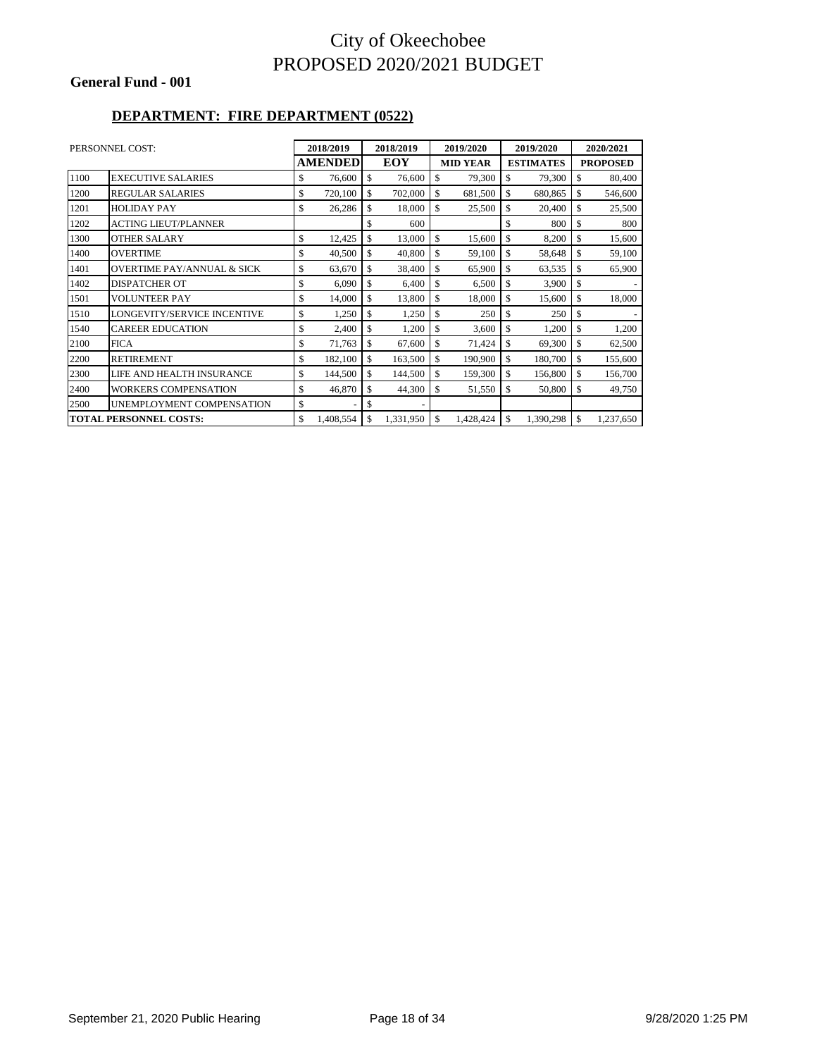#### **General Fund - 001**

### **DEPARTMENT: FIRE DEPARTMENT (0522)**

|      | PERSONNEL COST:                       |    | 2018/2019      |              | 2018/2019  | 2019/2020       |     | 2019/2020        |               | 2020/2021       |
|------|---------------------------------------|----|----------------|--------------|------------|-----------------|-----|------------------|---------------|-----------------|
|      |                                       |    | <b>AMENDED</b> |              | <b>EOY</b> | <b>MID YEAR</b> |     | <b>ESTIMATES</b> |               | <b>PROPOSED</b> |
| 1100 | <b>EXECUTIVE SALARIES</b>             | \$ | 76,600         | $\mathbb{S}$ | 76,600     | \$<br>79,300    | \$  | 79,300           | $\mathbf S$   | 80,400          |
| 1200 | <b>REGULAR SALARIES</b>               | \$ | 720,100        | \$           | 702,000    | \$<br>681,500   | \$  | 680,865          | \$            | 546,600         |
| 1201 | <b>HOLIDAY PAY</b>                    | \$ | 26,286         | \$           | 18,000     | \$<br>25,500    | \$  | 20,400           | $\mathbf S$   | 25,500          |
| 1202 | <b>ACTING LIEUT/PLANNER</b>           |    |                | \$           | 600        |                 | \$  | 800              | \$            | 800             |
| 1300 | <b>OTHER SALARY</b>                   | \$ | 12,425         | \$           | 13,000     | \$<br>15,600    | \$  | 8,200            | \$            | 15,600          |
| 1400 | <b>OVERTIME</b>                       | \$ | 40,500         | \$           | 40,800     | \$<br>59,100    | \$  | 58,648           | \$            | 59,100          |
| 1401 | <b>OVERTIME PAY/ANNUAL &amp; SICK</b> | \$ | 63,670         | \$           | 38,400     | \$<br>65,900    | \$  | 63,535           | \$            | 65,900          |
| 1402 | <b>DISPATCHER OT</b>                  | \$ | 6,090          | \$           | 6,400      | \$<br>6,500     | \$  | 3,900            | \$            |                 |
| 1501 | <b>VOLUNTEER PAY</b>                  | \$ | 14,000         | $\mathbb{S}$ | 13,800     | \$<br>18,000    | \$  | 15,600           | \$            | 18,000          |
| 1510 | LONGEVITY/SERVICE INCENTIVE           | \$ | 1,250          | \$           | 1,250      | \$<br>250       | \$  | 250              | <sup>\$</sup> |                 |
| 1540 | <b>CAREER EDUCATION</b>               | \$ | 2,400          | \$           | 1,200      | \$<br>3,600     | \$  | 1,200            | \$            | 1,200           |
| 2100 | <b>FICA</b>                           | \$ | 71,763         | \$           | 67,600     | \$<br>71,424    | \$  | 69,300           | \$            | 62,500          |
| 2200 | <b>RETIREMENT</b>                     | \$ | 182,100        | \$           | 163,500    | \$<br>190,900   | \$  | 180,700          | \$            | 155,600         |
| 2300 | LIFE AND HEALTH INSURANCE             | \$ | 144,500        | \$.          | 144,500    | \$<br>159,300   | \$  | 156,800          | \$            | 156,700         |
| 2400 | <b>WORKERS COMPENSATION</b>           | \$ | 46.870         | \$.          | 44,300     | \$<br>51,550    | \$. | 50,800           | -S            | 49,750          |
| 2500 | UNEMPLOYMENT COMPENSATION             | \$ |                | \$           |            |                 |     |                  |               |                 |
|      | <b>TOTAL PERSONNEL COSTS:</b>         | \$ | 1,408,554      | \$           | 1,331,950  | \$<br>1,428,424 | \$  | 1,390,298        | \$            | 1,237,650       |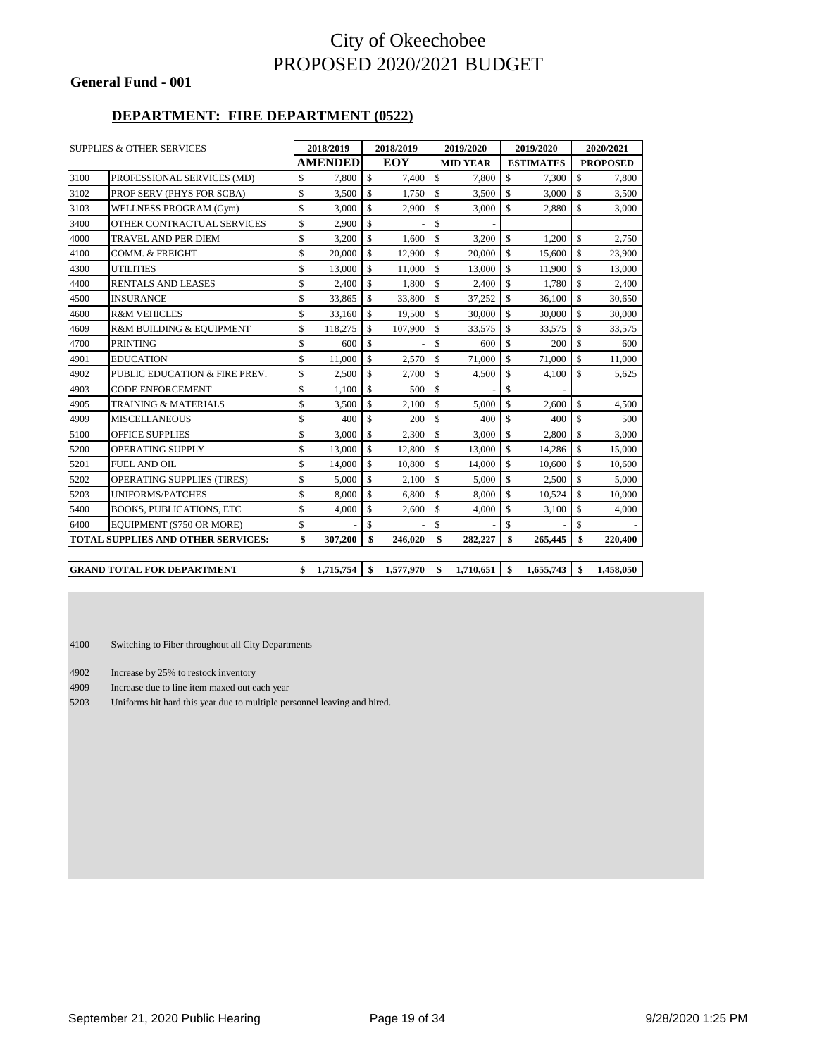#### **General Fund - 001**

### **DEPARTMENT: FIRE DEPARTMENT (0522)**

|      | <b>SUPPLIES &amp; OTHER SERVICES</b>      | 2018/2019       |                    | 2018/2019  |             | 2019/2020       |                    | 2019/2020        |                    | 2020/2021       |
|------|-------------------------------------------|-----------------|--------------------|------------|-------------|-----------------|--------------------|------------------|--------------------|-----------------|
|      |                                           | <b>AMENDED</b>  |                    | <b>EOY</b> |             | <b>MID YEAR</b> |                    | <b>ESTIMATES</b> |                    | <b>PROPOSED</b> |
| 3100 | PROFESSIONAL SERVICES (MD)                | \$<br>7,800     | $\mathbf{\hat{s}}$ | 7,400      | \$          | 7,800           | \$                 | 7,300            | \$                 | 7,800           |
| 3102 | PROF SERV (PHYS FOR SCBA)                 | \$<br>3.500     | $\mathbf{\hat{s}}$ | 1.750      | \$          | 3.500           | $\mathbf{\hat{S}}$ | 3.000            | $\mathbf S$        | 3.500           |
| 3103 | WELLNESS PROGRAM (Gym)                    | \$<br>3.000     | \$                 | 2.900      | \$          | 3.000           | \$                 | 2,880            | \$                 | 3.000           |
| 3400 | OTHER CONTRACTUAL SERVICES                | \$<br>2,900     | \$                 |            | $\mathbf S$ |                 |                    |                  |                    |                 |
| 4000 | TRAVEL AND PER DIEM                       | \$<br>3.200     | $\mathsf{\$}$      | 1.600      | \$          | 3.200           | $\mathbb{S}$       | 1.200            | $\mathsf{\$}$      | 2.750           |
| 4100 | <b>COMM. &amp; FREIGHT</b>                | \$<br>20,000    | \$                 | 12.900     | \$          | 20.000          | \$                 | 15,600           | \$                 | 23,900          |
| 4300 | <b>UTILITIES</b>                          | \$<br>13,000    | $\mathbf{\hat{s}}$ | 11.000     | \$          | 13,000          | $\mathbf{\$}$      | 11,900           | \$                 | 13,000          |
| 4400 | RENTALS AND LEASES                        | \$<br>2,400     | \$                 | 1,800      | \$          | 2,400           | \$                 | 1,780            | \$                 | 2,400           |
| 4500 | <b>INSURANCE</b>                          | \$<br>33,865    | $\mathbf{\hat{s}}$ | 33,800     | \$          | 37,252          | $\mathbf{\$}$      | 36,100           | $\mathbf{\hat{S}}$ | 30,650          |
| 4600 | <b>R&amp;M VEHICLES</b>                   | \$<br>33.160    | \$                 | 19,500     | \$          | 30,000          | \$                 | 30,000           | \$                 | 30,000          |
| 4609 | R&M BUILDING & EQUIPMENT                  | \$<br>118,275   | \$                 | 107,900    | \$          | 33,575          | \$                 | 33.575           | \$                 | 33,575          |
| 4700 | <b>PRINTING</b>                           | \$<br>600       | \$                 |            | \$          | 600             | $\mathcal{S}$      | 200              | \$                 | 600             |
| 4901 | <b>EDUCATION</b>                          | \$<br>11,000    | $\mathbf{\hat{s}}$ | 2.570      | \$          | 71,000          | \$                 | 71,000           | $\mathbf{\hat{s}}$ | 11,000          |
| 4902 | PUBLIC EDUCATION & FIRE PREV.             | \$<br>2,500     | \$                 | 2.700      | \$          | 4.500           | \$                 | 4,100            | \$                 | 5,625           |
| 4903 | <b>CODE ENFORCEMENT</b>                   | \$<br>1,100     | $\mathbf{\hat{s}}$ | 500        | \$          |                 | $\mathbf{\hat{S}}$ |                  |                    |                 |
| 4905 | <b>TRAINING &amp; MATERIALS</b>           | \$<br>3,500     | \$                 | 2.100      | \$          | 5.000           | $\mathcal{S}$      | 2.600            | \$                 | 4,500           |
| 4909 | <b>MISCELLANEOUS</b>                      | \$<br>400       | \$                 | 200        | $\mathbf S$ | 400             | $\mathbf{\hat{S}}$ | 400              | \$                 | 500             |
| 5100 | <b>OFFICE SUPPLIES</b>                    | \$<br>3.000     | \$                 | 2,300      | \$          | 3.000           | $\mathbf{\$}$      | 2.800            | $\mathbb{S}$       | 3.000           |
| 5200 | OPERATING SUPPLY                          | \$<br>13,000    | \$                 | 12,800     | \$          | 13,000          | \$                 | 14,286           | $\mathbb{S}$       | 15,000          |
| 5201 | <b>FUEL AND OIL</b>                       | \$<br>14,000    | $\mathbf{\hat{s}}$ | 10,800     | \$          | 14,000          | $\mathbf{\hat{S}}$ | 10.600           | $\mathbf{\hat{S}}$ | 10,600          |
| 5202 | OPERATING SUPPLIES (TIRES)                | \$<br>5.000     | \$                 | 2,100      | \$          | 5.000           | $\mathcal{S}$      | 2,500            | \$                 | 5,000           |
| 5203 | <b>UNIFORMS/PATCHES</b>                   | \$<br>8,000     | \$                 | 6.800      | \$          | 8.000           | $\mathbf{\hat{S}}$ | 10,524           | $\mathbf{\hat{S}}$ | 10.000          |
| 5400 | <b>BOOKS, PUBLICATIONS, ETC</b>           | \$<br>4.000     | \$                 | 2.600      | \$          | 4.000           | $\mathbb{S}$       | 3,100            | \$                 | 4.000           |
| 6400 | EQUIPMENT (\$750 OR MORE)                 | \$              | \$                 |            | \$          |                 | \$                 |                  | $\mathbb{S}$       |                 |
|      | <b>TOTAL SUPPLIES AND OTHER SERVICES:</b> | \$<br>307,200   | \$                 | 246,020    | \$          | 282,227         | \$                 | 265,445          | \$                 | 220,400         |
|      |                                           |                 |                    |            |             |                 |                    |                  |                    |                 |
|      | <b>GRAND TOTAL FOR DEPARTMENT</b>         | \$<br>1,715,754 | \$                 | 1,577,970  | -S          | 1,710,651       | \$                 | 1,655,743        | $\mathbf{s}$       | 1.458.050       |

Switching to Fiber throughout all City Departments

Increase by 25% to restock inventory

Increase due to line item maxed out each year

Uniforms hit hard this year due to multiple personnel leaving and hired.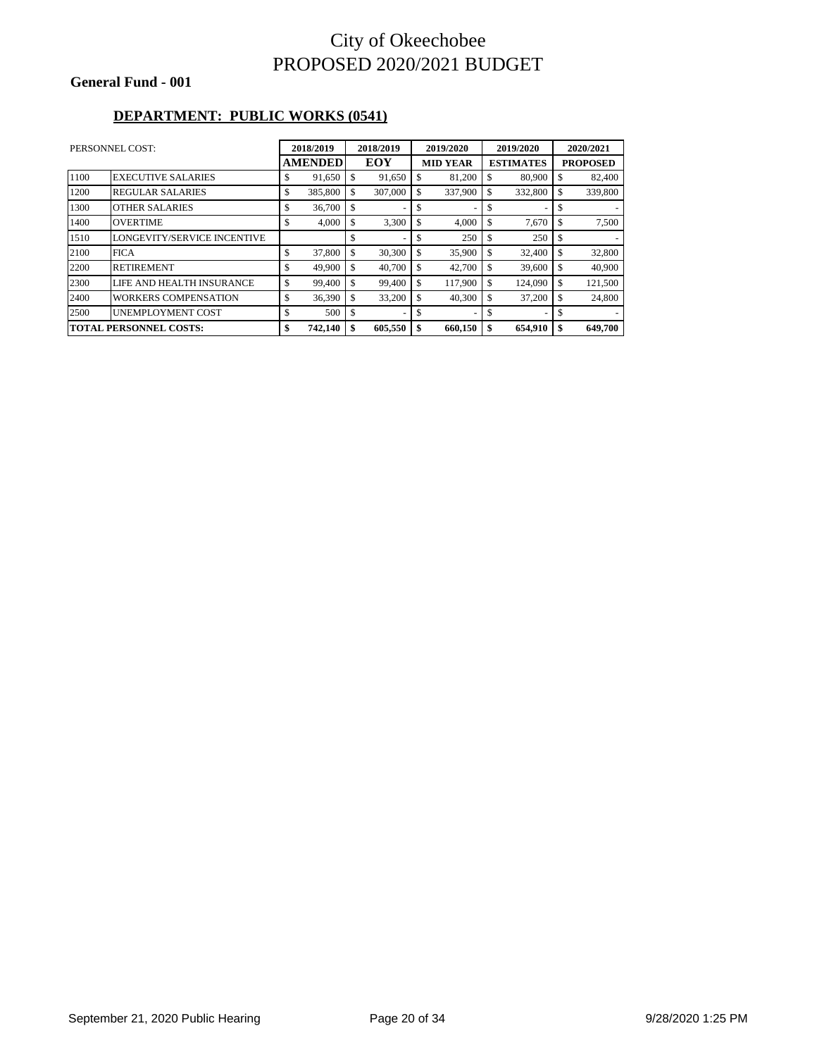#### **General Fund - 001**

### **DEPARTMENT: PUBLIC WORKS (0541)**

|      | PERSONNEL COST:               |     | 2018/2019      |               | 2018/2019 |    | 2019/2020                |          | 2019/2020        |     | 2020/2021       |
|------|-------------------------------|-----|----------------|---------------|-----------|----|--------------------------|----------|------------------|-----|-----------------|
|      |                               |     | <b>AMENDED</b> |               | EOY       |    | <b>MID YEAR</b>          |          | <b>ESTIMATES</b> |     | <b>PROPOSED</b> |
| 1100 | <b>EXECUTIVE SALARIES</b>     | \$  | 91,650         | \$            | 91,650    | S  | 81,200                   | \$.      | 80,900           | S   | 82,400          |
| 1200 | <b>REGULAR SALARIES</b>       | \$  | 385,800        | \$            | 307,000   | \$ | 337,900                  | S        | 332,800          | \$  | 339,800         |
| 1300 | <b>OTHER SALARIES</b>         | \$. | 36,700         | S             |           | S  |                          | S        |                  | \$  |                 |
| 1400 | <b>OVERTIME</b>               | \$  | 4,000          | \$            | 3,300     | S  | 4,000                    | \$.      | 7,670            | \$  | 7,500           |
| 1510 | LONGEVITY/SERVICE INCENTIVE   |     |                | \$            |           | S  | 250                      | S        | 250              | \$. |                 |
| 2100 | <b>FICA</b>                   | \$  | 37,800         | \$            | 30,300    | \$ | 35,900                   | S        | 32,400           | \$  | 32,800          |
| 2200 | <b>RETIREMENT</b>             | \$. | 49,900         | S             | 40,700    | S  | 42,700                   | <b>S</b> | 39,600           |     | 40,900          |
| 2300 | LIFE AND HEALTH INSURANCE     | \$  | 99,400         | S             | 99,400    | S  | 117,900                  | S        | 124,090          | \$  | 121,500         |
| 2400 | <b>WORKERS COMPENSATION</b>   | \$  | 36,390         | \$            | 33,200    | S  | 40,300                   | S        | 37,200           | \$. | 24,800          |
| 2500 | <b>UNEMPLOYMENT COST</b>      | \$  | 500            | <sup>\$</sup> |           | \$ | $\overline{\phantom{a}}$ | \$       |                  | \$  |                 |
|      | <b>TOTAL PERSONNEL COSTS:</b> | \$  | 742,140        | \$            | 605,550   |    | 660,150                  | \$       | 654.910          | \$  | 649,700         |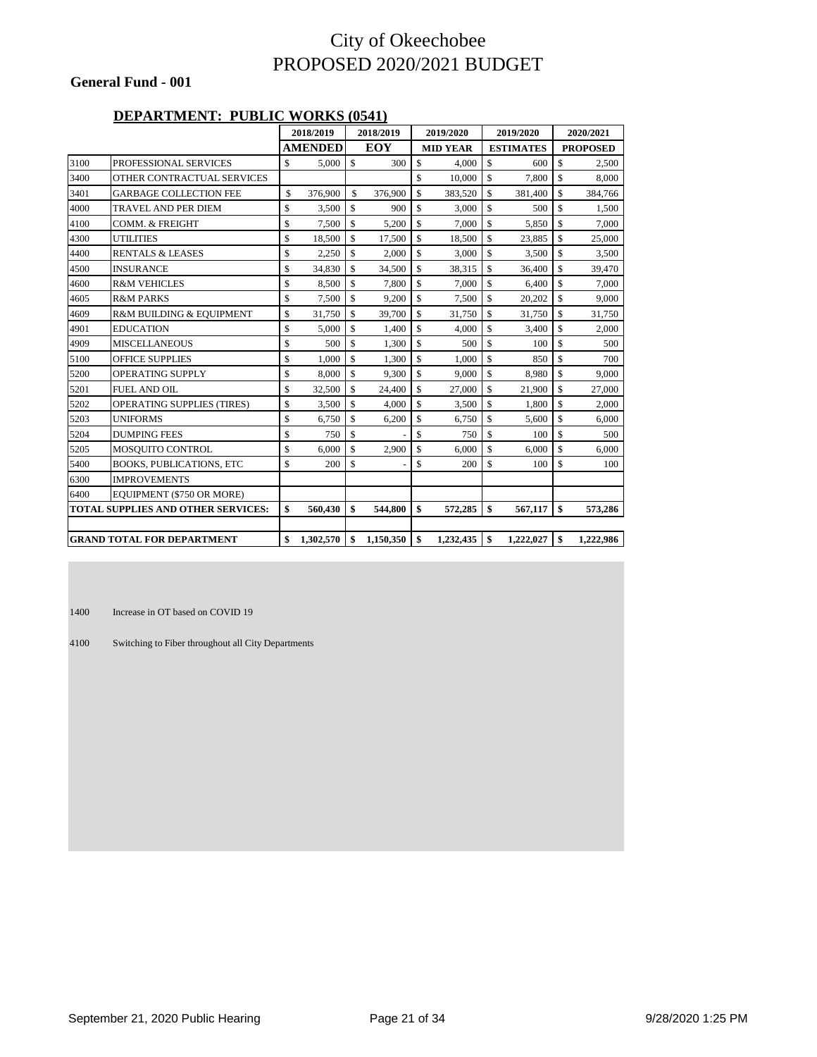#### **General Fund - 001**

### **DEPARTMENT: PUBLIC WORKS (0541)**

|      |                                    | 2018/2019 |                | 2018/2019 |            |               | 2019/2020       | 2019/2020     |                  | 2020/2021     |                 |
|------|------------------------------------|-----------|----------------|-----------|------------|---------------|-----------------|---------------|------------------|---------------|-----------------|
|      |                                    |           | <b>AMENDED</b> |           | <b>EOY</b> |               | <b>MID YEAR</b> |               | <b>ESTIMATES</b> |               | <b>PROPOSED</b> |
| 3100 | PROFESSIONAL SERVICES              | \$        | 5,000          | \$        | 300        | \$            | 4.000           | $\mathcal{S}$ | 600              | \$            | 2.500           |
| 3400 | OTHER CONTRACTUAL SERVICES         |           |                |           |            | \$            | 10,000          | <sup>\$</sup> | 7.800            | $\mathsf{\$}$ | 8,000           |
| 3401 | GARBAGE COLLECTION FEE             | \$        | 376,900        | \$        | 376,900    | \$            | 383.520         | $\mathbf S$   | 381.400          | \$            | 384,766         |
| 4000 | TRAVEL AND PER DIEM                | \$        | 3,500          | \$        | 900        | \$            | 3,000           | $\mathcal{S}$ | 500              | \$            | 1,500           |
| 4100 | COMM. & FREIGHT                    | \$        | 7,500          | \$        | 5,200      | \$            | 7,000           | <sup>\$</sup> | 5,850            | \$            | 7,000           |
| 4300 | <b>UTILITIES</b>                   | \$        | 18.500         | \$        | 17,500     | \$            | 18.500          | <sup>\$</sup> | 23.885           | \$            | 25,000          |
| 4400 | <b>RENTALS &amp; LEASES</b>        | \$        | 2,250          | \$        | 2.000      | \$            | 3.000           | $\mathcal{S}$ | 3,500            | \$            | 3,500           |
| 4500 | <b>INSURANCE</b>                   | \$        | 34,830         | \$        | 34,500     | $\mathbf{s}$  | 38,315          | -\$           | 36,400           | $\mathsf{\$}$ | 39,470          |
| 4600 | <b>R&amp;M VEHICLES</b>            | \$        | 8,500          | \$        | 7,800      | \$            | 7,000           | $\mathbf S$   | 6,400            | \$            | 7,000           |
| 4605 | <b>R&amp;M PARKS</b>               | \$        | 7,500          | \$        | 9.200      | $\mathbf S$   | 7.500           | $\mathbf S$   | 20,202           | $\mathsf{\$}$ | 9.000           |
| 4609 | R&M BUILDING & EQUIPMENT           | \$        | 31,750         | \$        | 39.700     | $\mathcal{S}$ | 31,750          | $\mathcal{S}$ | 31,750           | \$            | 31,750          |
| 4901 | <b>EDUCATION</b>                   | \$        | 5,000          | \$        | 1,400      | \$            | 4,000           | $\mathbf S$   | 3,400            | \$            | 2,000           |
| 4909 | <b>MISCELLANEOUS</b>               | \$        | 500            | \$        | 1,300      | $\mathbf S$   | 500             | $\mathbf S$   | 100              | \$            | 500             |
| 5100 | <b>OFFICE SUPPLIES</b>             | \$        | 1.000          | \$        | 1,300      | \$            | 1.000           | <sup>\$</sup> | 850              | \$            | 700             |
| 5200 | OPERATING SUPPLY                   | \$        | 8,000          | \$        | 9,300      | \$            | 9,000           | $\mathbf S$   | 8,980            | \$            | 9,000           |
| 5201 | <b>FUEL AND OIL</b>                | \$        | 32,500         | \$        | 24,400     | $\mathsf{\$}$ | 27,000          | $\mathbf S$   | 21,900           | $\mathsf{\$}$ | 27,000          |
| 5202 | <b>OPERATING SUPPLIES (TIRES)</b>  | \$        | 3,500          | \$        | 4.000      | \$            | 3,500           | <sup>\$</sup> | 1.800            | \$            | 2.000           |
| 5203 | <b>UNIFORMS</b>                    | \$        | 6,750          | \$        | 6,200      | \$            | 6,750           | $\mathcal{S}$ | 5.600            | \$            | 6,000           |
| 5204 | <b>DUMPING FEES</b>                | \$        | 750            | \$        |            | $\mathbf S$   | 750             | $\mathbf S$   | 100              | \$            | 500             |
| 5205 | <b>MOSOUITO CONTROL</b>            | \$        | 6.000          | \$        | 2.900      | \$            | 6.000           | <sup>\$</sup> | 6.000            | \$            | 6.000           |
| 5400 | <b>BOOKS, PUBLICATIONS, ETC</b>    | \$        | 200            | \$        |            | \$            | 200             | \$            | 100              | \$            | 100             |
| 6300 | <b>IMPROVEMENTS</b>                |           |                |           |            |               |                 |               |                  |               |                 |
| 6400 | EQUIPMENT (\$750 OR MORE)          |           |                |           |            |               |                 |               |                  |               |                 |
|      | TOTAL SUPPLIES AND OTHER SERVICES: | \$        | 560,430        | \$        | 544,800    | \$            | 572,285         | $\mathbf{s}$  | 567,117          | \$            | 573,286         |
|      |                                    |           |                |           |            |               |                 |               |                  |               |                 |
|      | <b>GRAND TOTAL FOR DEPARTMENT</b>  | \$        | 1,302,570      | \$        | 1.150.350  | \$            | 1.232.435       | $\mathbf{s}$  | 1,222,027        | $\mathbf{s}$  | 1,222,986       |

1400 Increase in OT based on COVID 19

Switching to Fiber throughout all City Departments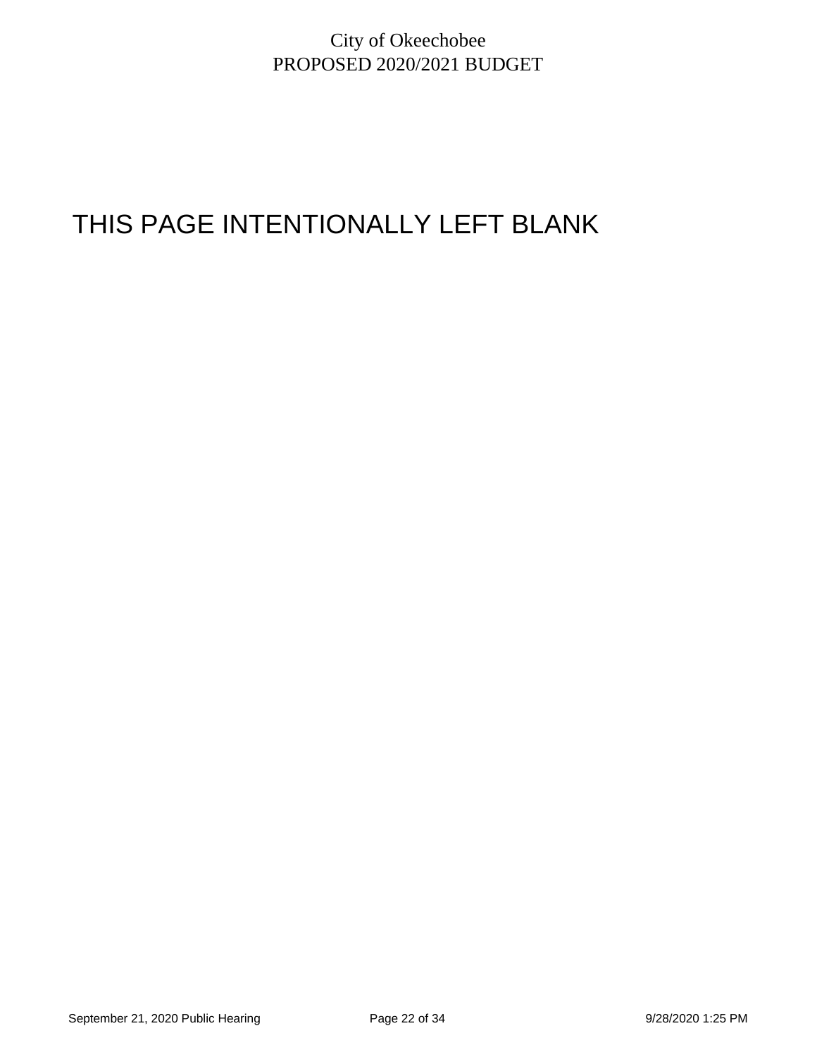# THIS PAGE INTENTIONALLY LEFT BLANK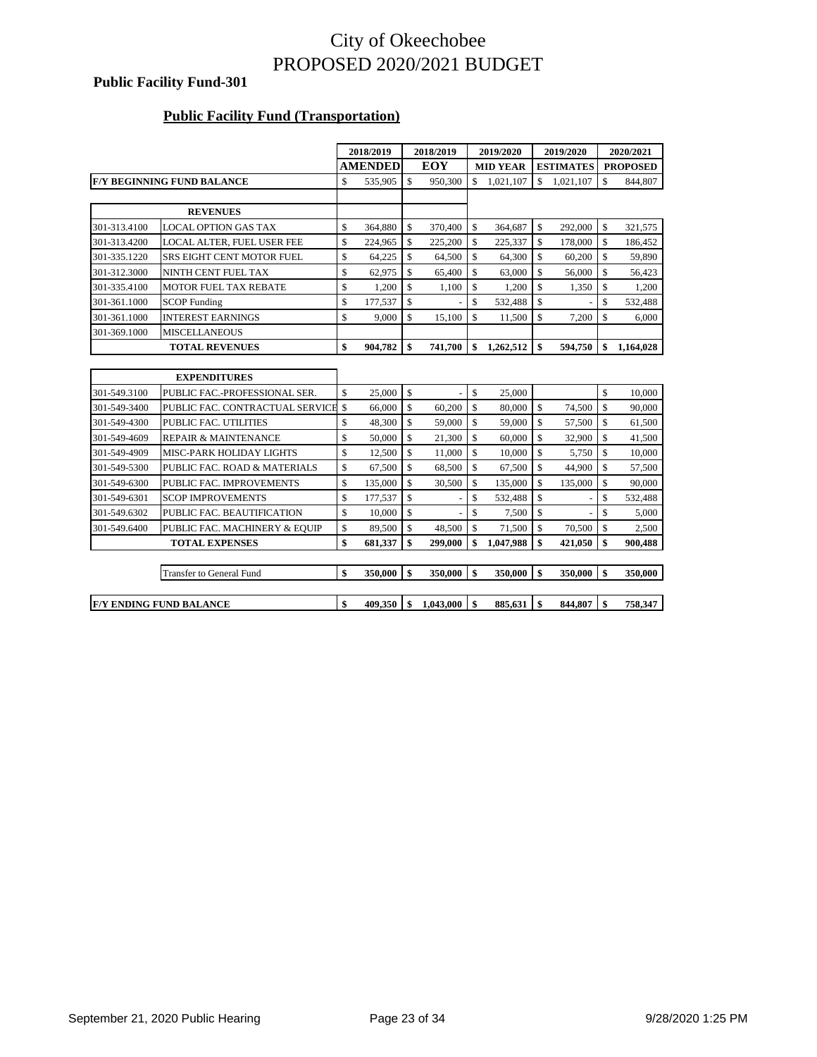### **Public Facility Fund-301**

### **Public Facility Fund (Transportation)**

|              |                                   |              | 2018/2019      |               | 2018/2019  |                    | 2019/2020       |                                 | 2019/2020  |                    | 2020/2021       |  |
|--------------|-----------------------------------|--------------|----------------|---------------|------------|--------------------|-----------------|---------------------------------|------------|--------------------|-----------------|--|
|              |                                   |              | <b>AMENDED</b> |               | <b>EOY</b> |                    | <b>MID YEAR</b> | <b>ESTIMATES</b>                |            |                    | <b>PROPOSED</b> |  |
|              | <b>F/Y BEGINNING FUND BALANCE</b> | \$           | 535,905        | $\mathbf{s}$  | 950,300    | \$                 | 1,021,107       | ${\mathbb S}$                   | 1,021,107  | \$                 | 844,807         |  |
|              |                                   |              |                |               |            |                    |                 |                                 |            |                    |                 |  |
|              | <b>REVENUES</b>                   |              |                |               |            |                    |                 |                                 |            |                    |                 |  |
| 301-313.4100 | <b>LOCAL OPTION GAS TAX</b>       | \$           | 364,880        | <sup>\$</sup> | 370,400    | \$                 | 364,687         | \$                              | 292,000    | $\mathcal{S}$      | 321,575         |  |
| 301-313.4200 | LOCAL ALTER, FUEL USER FEE        | \$           | 224,965        | \$            | 225,200    | \$                 | 225,337         | $\mathbf S$                     | 178,000    | $\mathbf{\hat{S}}$ | 186,452         |  |
| 301-335.1220 | SRS EIGHT CENT MOTOR FUEL         | \$           | 64,225         | \$            | 64,500     | \$                 | 64,300          | $\mathbf S$                     | 60,200     | $\mathbb{S}$       | 59,890          |  |
| 301-312.3000 | NINTH CENT FUEL TAX               | \$           | 62,975         | $\mathcal{S}$ | 65,400     | \$                 | 63,000          | \$                              | 56,000     | $\mathbf{\hat{S}}$ | 56,423          |  |
| 301-335.4100 | <b>MOTOR FUEL TAX REBATE</b>      | \$           | 1,200          | <sup>\$</sup> | 1,100      | \$                 | 1,200           | $\mathbb{S}$                    | 1.350      | \$                 | 1,200           |  |
| 301-361.1000 | <b>SCOP Funding</b>               | \$           | 177,537        | $\mathbf S$   |            | \$                 | 532,488         | $\mathsf{\$}$                   |            | \$                 | 532,488         |  |
| 301-361.1000 | <b>INTEREST EARNINGS</b>          | \$           | 9,000          | $\mathbb{S}$  | 15,100     | \$                 | 11,500          | $\mathbb{S}$                    | 7,200      | \$                 | 6,000           |  |
| 301-369.1000 | <b>MISCELLANEOUS</b>              |              |                |               |            |                    |                 |                                 |            |                    |                 |  |
|              | <b>TOTAL REVENUES</b>             | \$           | 904,782        | $\mathbf{s}$  | 741,700    | \$                 | 1,262,512       | $\mathbf{s}$                    | 594,750    | $\mathbf{s}$       | 1,164,028       |  |
|              |                                   |              |                |               |            |                    |                 |                                 |            |                    |                 |  |
|              | <b>EXPENDITURES</b>               |              |                |               |            |                    |                 |                                 |            |                    |                 |  |
| 301-549.3100 | PUBLIC FAC.-PROFESSIONAL SER.     | \$           | 25,000         | $\mathbf{s}$  |            | \$                 | 25,000          |                                 |            | \$                 | 10,000          |  |
| 301-549-3400 | PUBLIC FAC. CONTRACTUAL SERVICE   | $\mathbf{s}$ | 66,000         | $\mathbf S$   | 60.200     | $\mathbb{S}$       | 80,000          | $\mathsf{\$}$                   | 74.500     | $\mathcal{S}$      | 90,000          |  |
| 301-549-4300 | <b>PUBLIC FAC. UTILITIES</b>      | \$           | 48,300         | $\mathbf S$   | 59,000     | \$                 | 59,000          | \$                              | 57,500     | \$                 | 61,500          |  |
| 301-549-4609 | <b>REPAIR &amp; MAINTENANCE</b>   | \$           | 50,000         | <sup>\$</sup> | 21,300     | \$                 | 60,000          | \$                              | 32,900     | \$                 | 41,500          |  |
| 301-549-4909 | <b>MISC-PARK HOLIDAY LIGHTS</b>   | \$           | 12,500         | \$            | 11,000     | $\mathbb{S}$       | 10,000          | $\mathbf S$                     | 5,750      | $\mathcal{S}$      | 10,000          |  |
| 301-549-5300 | PUBLIC FAC. ROAD & MATERIALS      | \$           | 67,500         | $\mathbf S$   | 68,500     | \$                 | 67,500          | $\mathsf{\$}$                   | 44,900     | $\mathbf{\hat{S}}$ | 57,500          |  |
| 301-549-6300 | PUBLIC FAC. IMPROVEMENTS          | \$           | 135,000        | $\mathbf S$   | 30,500     | \$                 | 135,000         | $\mathbf{\hat{s}}$              | 135,000    | $\mathbf{\hat{S}}$ | 90,000          |  |
| 301-549-6301 | <b>SCOP IMPROVEMENTS</b>          | \$           | 177,537        | $\mathbf S$   |            | \$                 | 532,488         | \$                              |            | \$                 | 532,488         |  |
| 301-549.6302 | PUBLIC FAC. BEAUTIFICATION        | \$           | 10,000         | $\mathbf S$   |            | \$                 | 7,500           | $\mathbf S$                     |            | \$                 | 5,000           |  |
| 301-549.6400 | PUBLIC FAC. MACHINERY & EQUIP     | \$           | 89,500         | <sup>\$</sup> | 48,500     | $\mathbb{S}$       | 71,500          | \$                              | 70,500     | \$                 | 2,500           |  |
|              | <b>TOTAL EXPENSES</b>             | \$           | 681,337        | \$            | 299,000    | \$                 | 1,047,988       | \$                              | 421,050    | \$                 | 900,488         |  |
|              |                                   |              |                |               |            |                    |                 |                                 |            |                    |                 |  |
|              | <b>Transfer to General Fund</b>   | \$           | 350,000        | $\mathbf{s}$  | 350,000    | $\mathbf{\hat{s}}$ | 350,000         | $\boldsymbol{\hat{\mathbf{s}}}$ | 350,000    | \$                 | 350,000         |  |
|              |                                   |              |                |               |            |                    |                 |                                 |            |                    |                 |  |
|              | <b>F/Y ENDING FUND BALANCE</b>    | \$           | 409,350        | $\mathbf{s}$  | 1,043,000  | $\mathbf{s}$       | 885,631         | $\mathbf{I}$                    | 844,807 \$ |                    | 758,347         |  |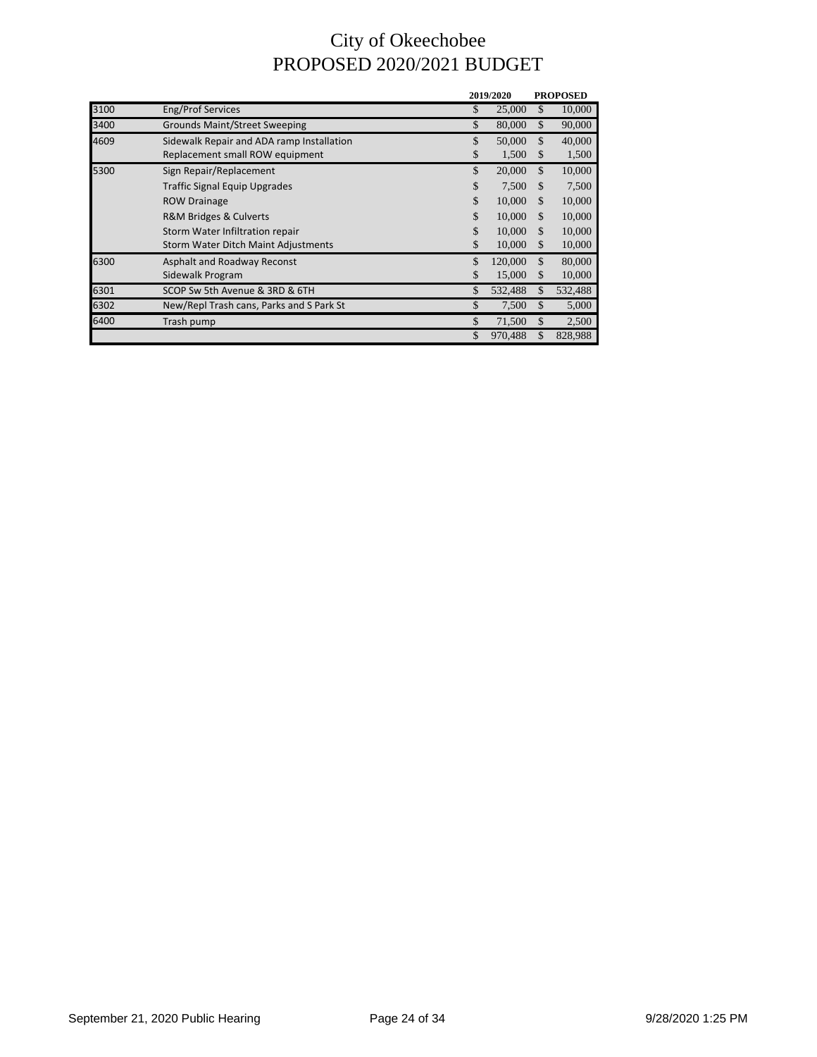|      |                                            | 2019/2020     |               | <b>PROPOSED</b> |
|------|--------------------------------------------|---------------|---------------|-----------------|
| 3100 | <b>Eng/Prof Services</b>                   | \$<br>25,000  | \$            | 10,000          |
| 3400 | <b>Grounds Maint/Street Sweeping</b>       | \$<br>80,000  | \$            | 90,000          |
| 4609 | Sidewalk Repair and ADA ramp Installation  | \$<br>50,000  | \$            | 40,000          |
|      | Replacement small ROW equipment            | \$<br>1,500   | S             | 1,500           |
| 5300 | Sign Repair/Replacement                    | \$<br>20,000  | \$            | 10,000          |
|      | <b>Traffic Signal Equip Upgrades</b>       | \$<br>7.500   | \$            | 7,500           |
|      | <b>ROW Drainage</b>                        | \$<br>10,000  | \$            | 10,000          |
|      | <b>R&amp;M Bridges &amp; Culverts</b>      | \$<br>10,000  | \$            | 10,000          |
|      | Storm Water Infiltration repair            | \$<br>10,000  | <sup>\$</sup> | 10,000          |
|      | <b>Storm Water Ditch Maint Adjustments</b> | \$<br>10,000  | \$            | 10,000          |
| 6300 | Asphalt and Roadway Reconst                | \$<br>120,000 | $\mathcal{S}$ | 80,000          |
|      | Sidewalk Program                           | \$<br>15,000  | \$            | 10,000          |
| 6301 | SCOP Sw 5th Avenue & 3RD & 6TH             | \$<br>532,488 | \$            | 532,488         |
| 6302 | New/Repl Trash cans, Parks and S Park St   | \$<br>7,500   | \$            | 5,000           |
| 6400 | Trash pump                                 | \$<br>71,500  | \$            | 2,500           |
|      |                                            | \$<br>970,488 | \$            | 828,988         |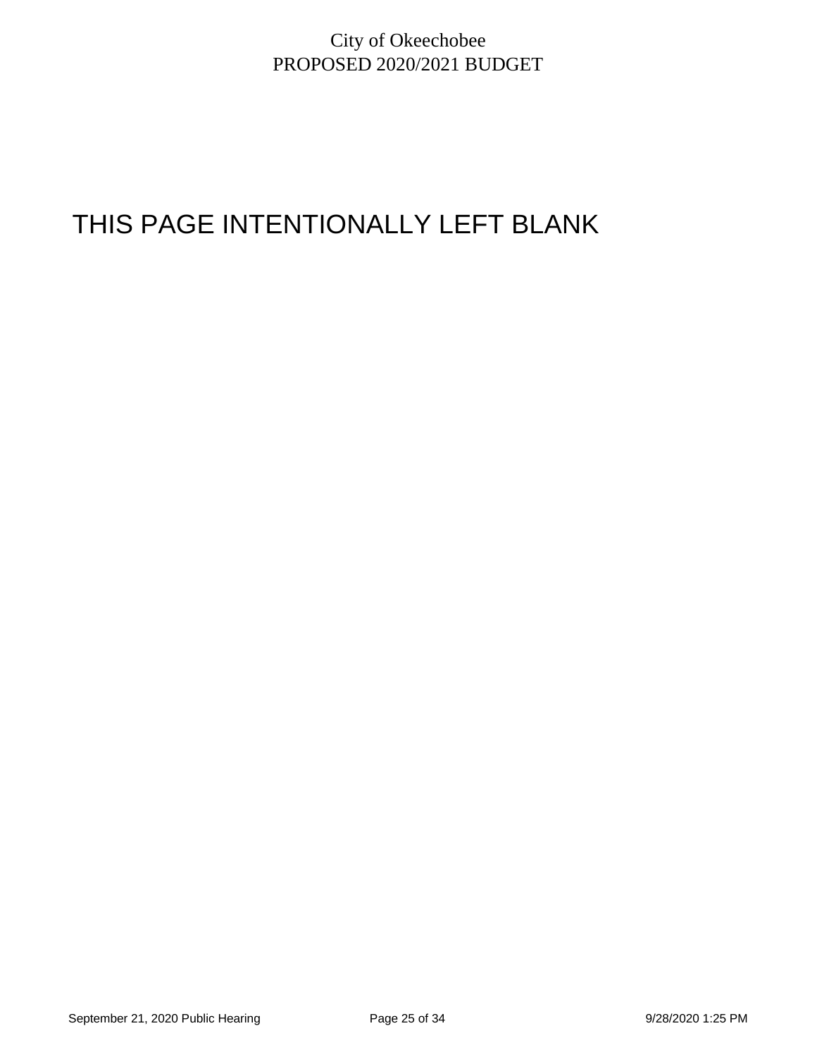# THIS PAGE INTENTIONALLY LEFT BLANK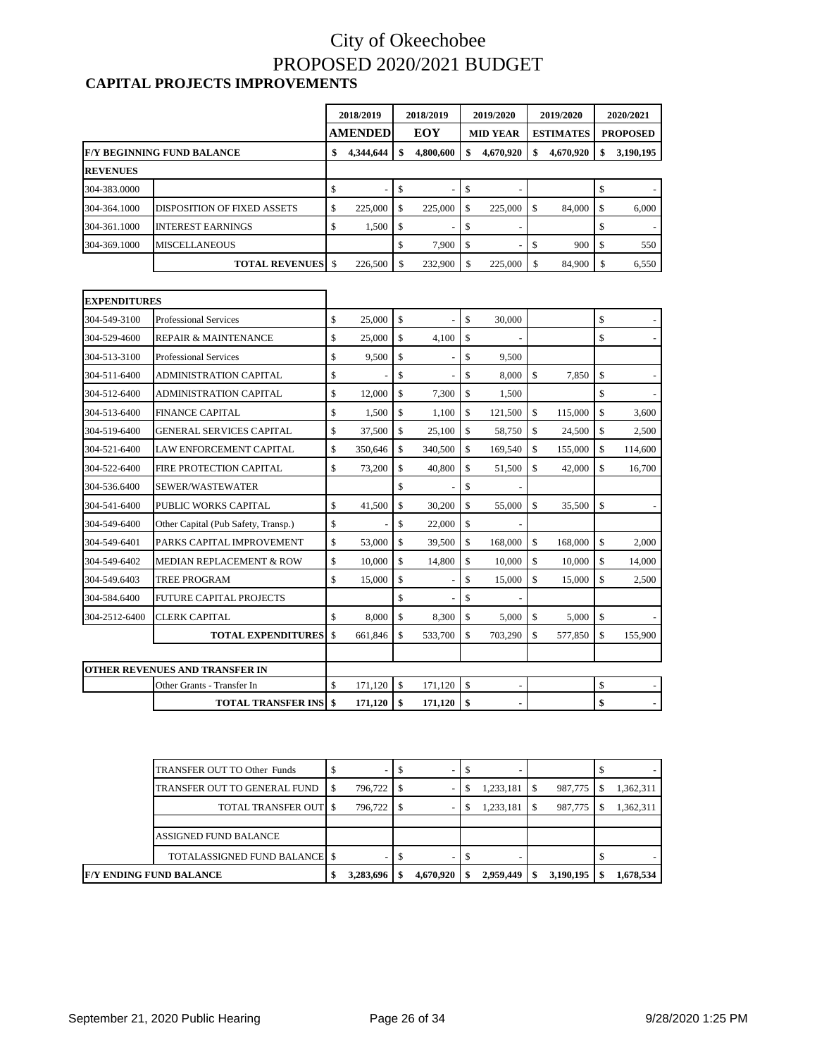### City of Okeechobee PROPOSED 2020/2021 BUDGET **CAPITAL PROJECTS IMPROVEMENTS**

|                     |                                     |               | 2018/2019      | 2018/2019          |           | 2019/2020          |                 | 2019/2020          |                  | 2020/2021          |                 |
|---------------------|-------------------------------------|---------------|----------------|--------------------|-----------|--------------------|-----------------|--------------------|------------------|--------------------|-----------------|
|                     |                                     |               | <b>AMENDED</b> |                    | EOY       |                    | <b>MID YEAR</b> |                    | <b>ESTIMATES</b> |                    | <b>PROPOSED</b> |
|                     | <b>F/Y BEGINNING FUND BALANCE</b>   | \$            | 4,344,644      | \$                 | 4,800,600 | \$                 | 4,670,920       | \$                 | 4,670,920        | \$                 | 3,190,195       |
| <b>REVENUES</b>     |                                     |               |                |                    |           |                    |                 |                    |                  |                    |                 |
| 304-383.0000        |                                     | \$            |                | $\mathbb{S}$       |           | $\mathbb{S}$       |                 |                    |                  | $\mathbb{S}$       |                 |
| 304-364.1000        | DISPOSITION OF FIXED ASSETS         | \$            | 225,000        | \$                 | 225,000   | $\mathbf S$        | 225,000         | $\mathbb{S}$       | 84,000           | $\mathbb{S}$       | 6,000           |
| 304-361.1000        | <b>INTEREST EARNINGS</b>            | \$            | 1,500          | $\mathbb{S}$       |           | \$                 |                 |                    |                  | \$                 |                 |
| 304-369.1000        | <b>MISCELLANEOUS</b>                |               |                | \$                 | 7,900     | $\mathbb{S}$       |                 | $\mathbf S$        | 900              | $\mathbb{S}$       | 550             |
|                     | <b>TOTAL REVENUES</b>               | $\mathcal{S}$ | 226,500        | $\mathbf{\$}$      | 232,900   | $\mathbf S$        | 225,000         | $\mathbf{\hat{S}}$ | 84,900           | $\mathbf{\hat{S}}$ | 6,550           |
|                     |                                     |               |                |                    |           |                    |                 |                    |                  |                    |                 |
| <b>EXPENDITURES</b> |                                     |               |                |                    |           |                    |                 |                    |                  |                    |                 |
| 304-549-3100        | <b>Professional Services</b>        | \$            | 25,000         | $\mathbf S$        |           | $\mathbb{S}$       | 30,000          |                    |                  | \$                 |                 |
| 304-529-4600        | REPAIR & MAINTENANCE                | \$            | 25,000         | $\mathbb{S}$       | 4.100     | $\mathbb{S}$       |                 |                    |                  | $\mathbb{S}$       |                 |
| 304-513-3100        | <b>Professional Services</b>        | \$            | 9,500          | $\mathbf S$        |           | $\mathbb S$        | 9,500           |                    |                  |                    |                 |
| 304-511-6400        | <b>ADMINISTRATION CAPITAL</b>       | \$            |                | $\mathbf{\hat{s}}$ |           | $\mathbf{\hat{S}}$ | 8,000           | $\mathbf{\hat{S}}$ | 7.850            | \$                 |                 |
| 304-512-6400        | ADMINISTRATION CAPITAL              | \$            | 12,000         | $\mathcal{S}$      | 7,300     | $\mathbf S$        | 1,500           |                    |                  | $\mathbb{S}$       |                 |
| 304-513-6400        | FINANCE CAPITAL                     | \$            | 1,500          | $\mathbb{S}$       | 1,100     | $\mathbf S$        | 121,500         | $\mathbf{\hat{S}}$ | 115,000          | $\mathbb{S}$       | 3,600           |
| 304-519-6400        | <b>GENERAL SERVICES CAPITAL</b>     | \$            | 37,500         | $\mathbb{S}$       | 25,100    | $\mathbb S$        | 58,750          | $\mathbf S$        | 24,500           | \$                 | 2,500           |
| 304-521-6400        | LAW ENFORCEMENT CAPITAL             | \$            | 350,646        | $\mathcal{S}$      | 340,500   | $\mathbf{\hat{S}}$ | 169,540         | $\mathcal{S}$      | 155,000          | $\mathbb{S}$       | 114,600         |
| 304-522-6400        | FIRE PROTECTION CAPITAL             | \$            | 73,200         | \$                 | 40,800    | \$                 | 51,500          | \$                 | 42,000           | \$                 | 16,700          |
| 304-536.6400        | SEWER/WASTEWATER                    |               |                | $\mathbb{S}$       |           | $\mathsf{\$}$      |                 |                    |                  |                    |                 |
| 304-541-6400        | PUBLIC WORKS CAPITAL                | \$            | 41,500         | $\mathcal{S}$      | 30,200    | \$                 | 55,000          | \$                 | 35,500           | \$                 |                 |
| 304-549-6400        | Other Capital (Pub Safety, Transp.) | \$            |                | $\mathbb{S}$       | 22,000    | $\mathbf{\hat{S}}$ |                 |                    |                  |                    |                 |
| 304-549-6401        | PARKS CAPITAL IMPROVEMENT           | \$            | 53,000         | $\mathbb{S}$       | 39,500    | $\mathbf{\hat{S}}$ | 168,000         | $\mathbf{\hat{S}}$ | 168,000          | $\mathbb{S}$       | 2,000           |
| 304-549-6402        | <b>MEDIAN REPLACEMENT &amp; ROW</b> | \$            | 10,000         | $\mathbb{S}$       | 14,800    | $\mathbb S$        | 10,000          | \$                 | 10,000           | \$                 | 14,000          |
| 304-549.6403        | <b>TREE PROGRAM</b>                 | \$            | 15.000         | $\mathbf S$        |           | $\mathbb{S}$       | 15,000          | $\mathbf{\hat{S}}$ | 15,000           | $\mathbb{S}$       | 2.500           |
| 304-584.6400        | <b>FUTURE CAPITAL PROJECTS</b>      |               |                | $\mathbf{\hat{S}}$ |           | \$                 |                 |                    |                  |                    |                 |
| 304-2512-6400       | <b>CLERK CAPITAL</b>                | $\mathbb{S}$  | 8,000          | $\mathbb{S}$       | 8,300     | \$                 | 5,000           | $\mathcal{S}$      | 5,000            | $\mathbb{S}$       |                 |
|                     | <b>TOTAL EXPENDITURES</b>           | $\mathbf S$   | 661,846        | $\mathbb{S}$       | 533,700   | ${\mathbb S}$      | 703,290         | $\mathbb{S}$       | 577,850          | $\mathbb{S}$       | 155,900         |
|                     |                                     |               |                |                    |           |                    |                 |                    |                  |                    |                 |
|                     | OTHER REVENUES AND TRANSFER IN      |               |                |                    |           |                    |                 |                    |                  |                    |                 |
|                     | Other Grants - Transfer In          | \$            | 171,120        | $\mathbb{S}$       | 171,120   | \$                 |                 |                    |                  | \$                 |                 |
|                     | <b>TOTAL TRANSFER INS</b>           | \$            | 171,120        | $\mathbf{\hat{s}}$ | 171,120   | \$                 |                 |                    |                  | \$                 |                 |

|                                | TRANSFER OUT TO Other Funds         |           |           |           |                 |           |
|--------------------------------|-------------------------------------|-----------|-----------|-----------|-----------------|-----------|
|                                | TRANSFER OUT TO GENERAL FUND        | 796,722   |           | 1,233,181 | 987,775         | 1,362,311 |
|                                | <b>TOTAL TRANSFER OUT \$</b>        | 796,722   |           | 1,233,181 | 987,775         | 1,362,311 |
|                                |                                     |           |           |           |                 |           |
|                                | ASSIGNED FUND BALANCE               |           |           |           |                 |           |
|                                | <b>TOTALASSIGNED FUND BALANCELS</b> |           |           |           |                 |           |
| <b>F/Y ENDING FUND BALANCE</b> |                                     | 3,283,696 | 4,670,920 | 2,959,449 | \$<br>3,190,195 | 1,678,534 |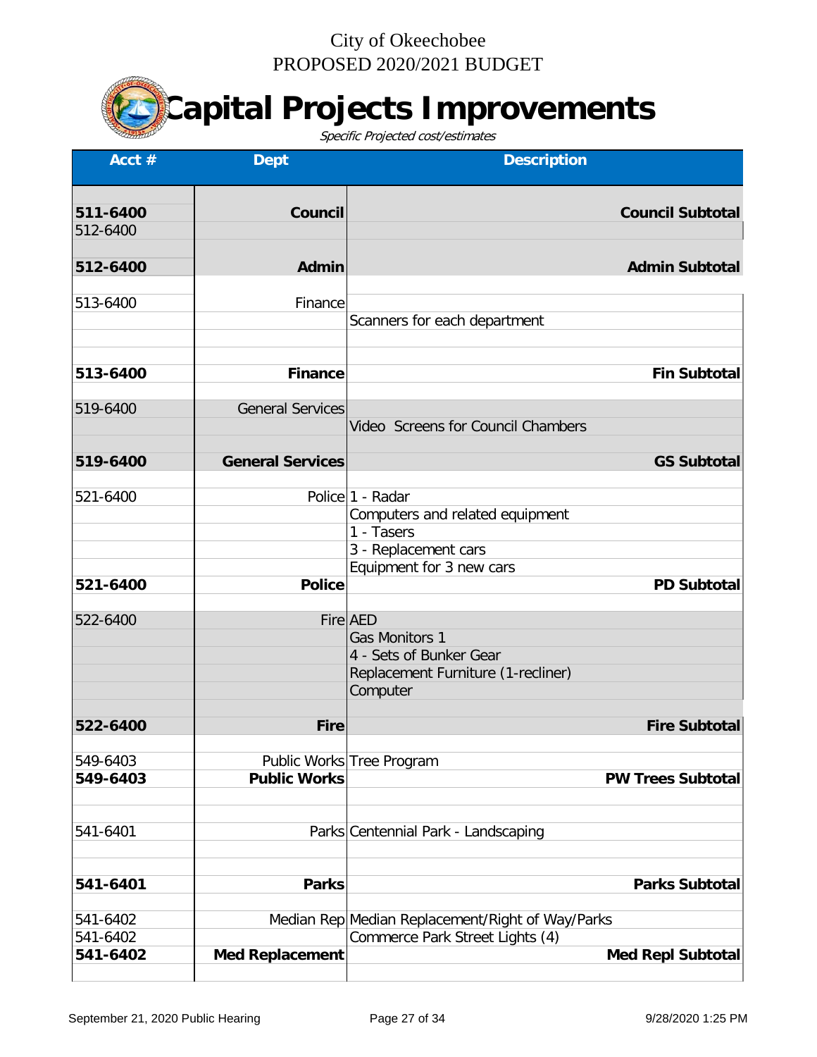

**Capital Projects Improvements** 

Specific Projected cost/estimates

| Acct $#$                         | <b>Dept</b>             | <b>Description</b>                                                                                                    |
|----------------------------------|-------------------------|-----------------------------------------------------------------------------------------------------------------------|
| 511-6400<br>512-6400             | Council                 | <b>Council Subtotal</b>                                                                                               |
| 512-6400                         | Admin                   | <b>Admin Subtotal</b>                                                                                                 |
| 513-6400                         | Finance                 | Scanners for each department                                                                                          |
| 513-6400                         | <b>Finance</b>          | <b>Fin Subtotal</b>                                                                                                   |
| 519-6400                         | <b>General Services</b> | Video Screens for Council Chambers                                                                                    |
| 519-6400                         | <b>General Services</b> | <b>GS Subtotal</b>                                                                                                    |
| 521-6400                         |                         | Police 1 - Radar<br>Computers and related equipment<br>1 - Tasers<br>3 - Replacement cars<br>Equipment for 3 new cars |
| 521-6400                         | <b>Police</b>           | <b>PD Subtotal</b>                                                                                                    |
| 522-6400                         |                         | Fire AED<br><b>Gas Monitors 1</b><br>4 - Sets of Bunker Gear<br>Replacement Furniture (1-recliner)<br>Computer        |
| 522-6400                         | <b>Fire</b>             | <b>Fire Subtotal</b>                                                                                                  |
| 549-6403<br>549-6403             | <b>Public Works</b>     | Public Works Tree Program<br><b>PW Trees Subtotal</b>                                                                 |
| 541-6401                         |                         | Parks Centennial Park - Landscaping                                                                                   |
| 541-6401                         | <b>Parks</b>            | <b>Parks Subtotal</b>                                                                                                 |
| 541-6402<br>541-6402<br>541-6402 | <b>Med Replacement</b>  | Median Rep Median Replacement/Right of Way/Parks<br>Commerce Park Street Lights (4)<br><b>Med Repl Subtotal</b>       |
|                                  |                         |                                                                                                                       |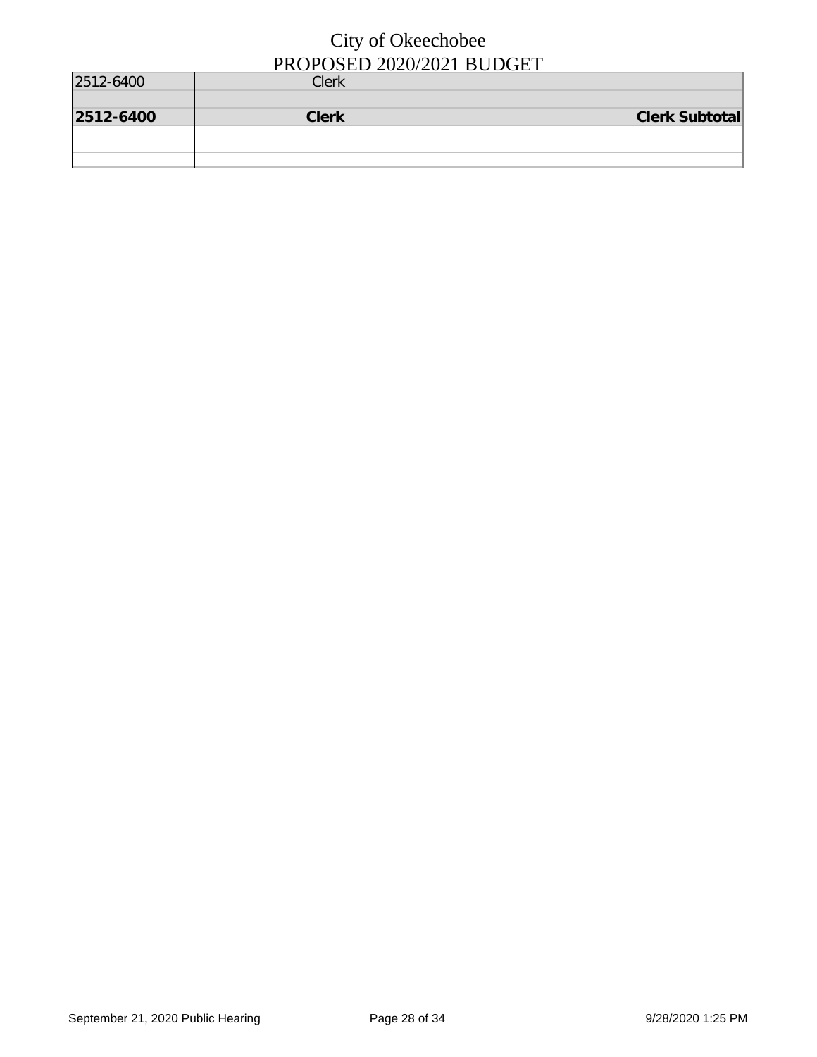|           |              | THOI ODDD 2020/2021 DODODI |
|-----------|--------------|----------------------------|
| 2512-6400 | <b>Clerk</b> |                            |
|           |              |                            |
| 2512-6400 | <b>Clerk</b> | <b>Clerk Subtotal</b>      |
|           |              |                            |
|           |              |                            |
|           |              |                            |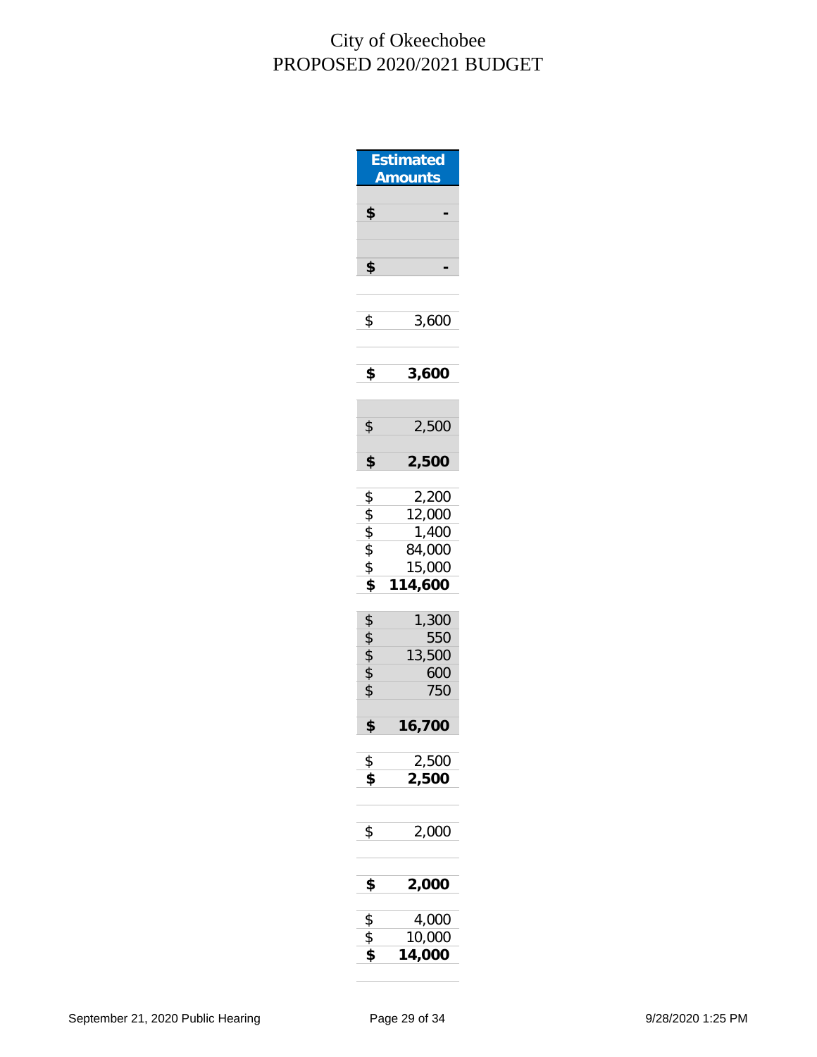|                                                                      | <b>Estimated</b><br><b>Amounts</b>                                                                        |
|----------------------------------------------------------------------|-----------------------------------------------------------------------------------------------------------|
| \$                                                                   |                                                                                                           |
| \$                                                                   |                                                                                                           |
| \$                                                                   | 3,600                                                                                                     |
| \$                                                                   | 3,600                                                                                                     |
| \$                                                                   | 2,500                                                                                                     |
| \$                                                                   | 2,500                                                                                                     |
| \$<br>\$<br>\$<br>\$<br>\$<br>\$<br>\$<br>\$<br>\$<br>\$<br>\$<br>\$ | 2,200<br>12,000<br>1,400<br>84,000<br>15,000<br>114,600<br>1,300<br>550<br>13,500<br>600<br>750<br>16,700 |
| \$<br>\$                                                             | 2,500<br>2,500                                                                                            |
| \$                                                                   | 2,000                                                                                                     |
| \$                                                                   | 2,000                                                                                                     |
| \$<br>\$<br>\$                                                       | 4,000<br>10,000<br>14,000                                                                                 |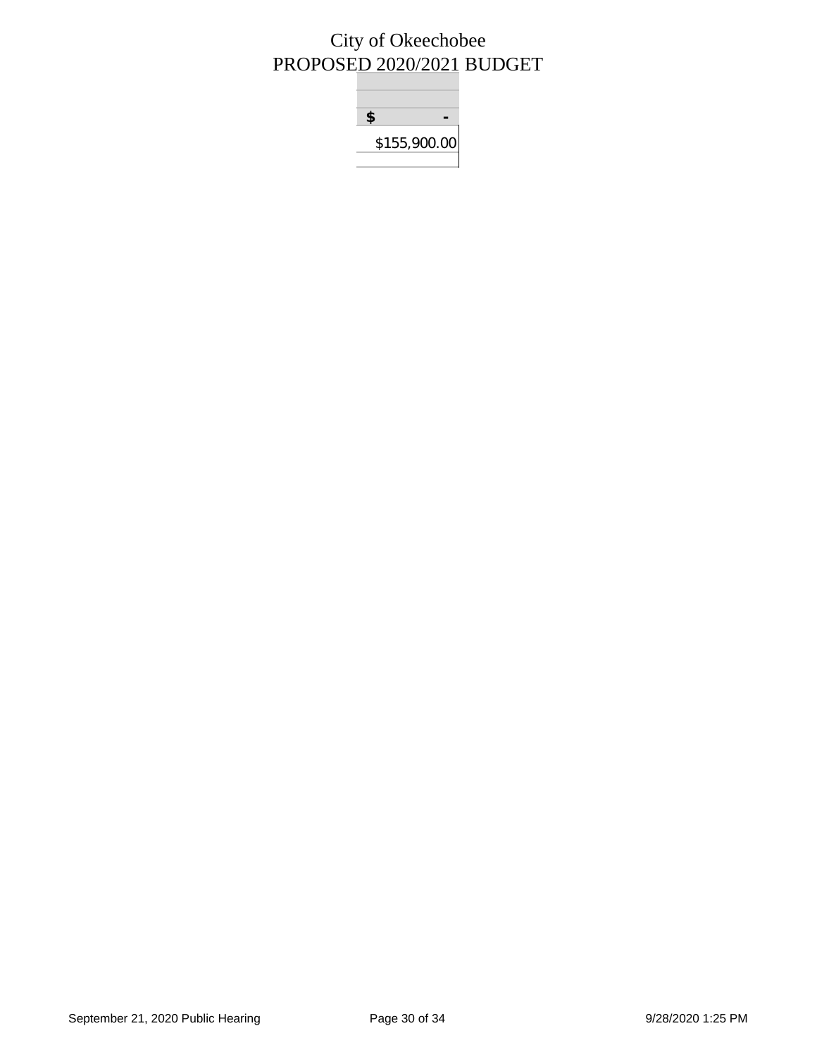| S            |  |
|--------------|--|
| \$155,900.00 |  |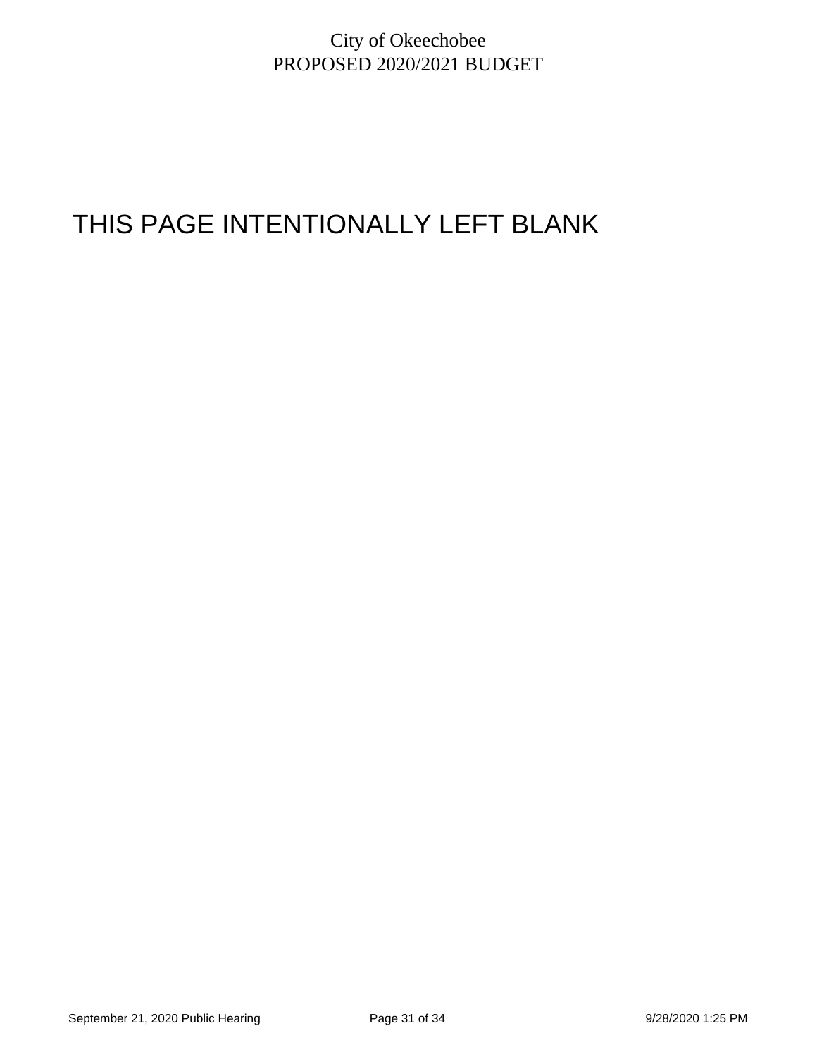# THIS PAGE INTENTIONALLY LEFT BLANK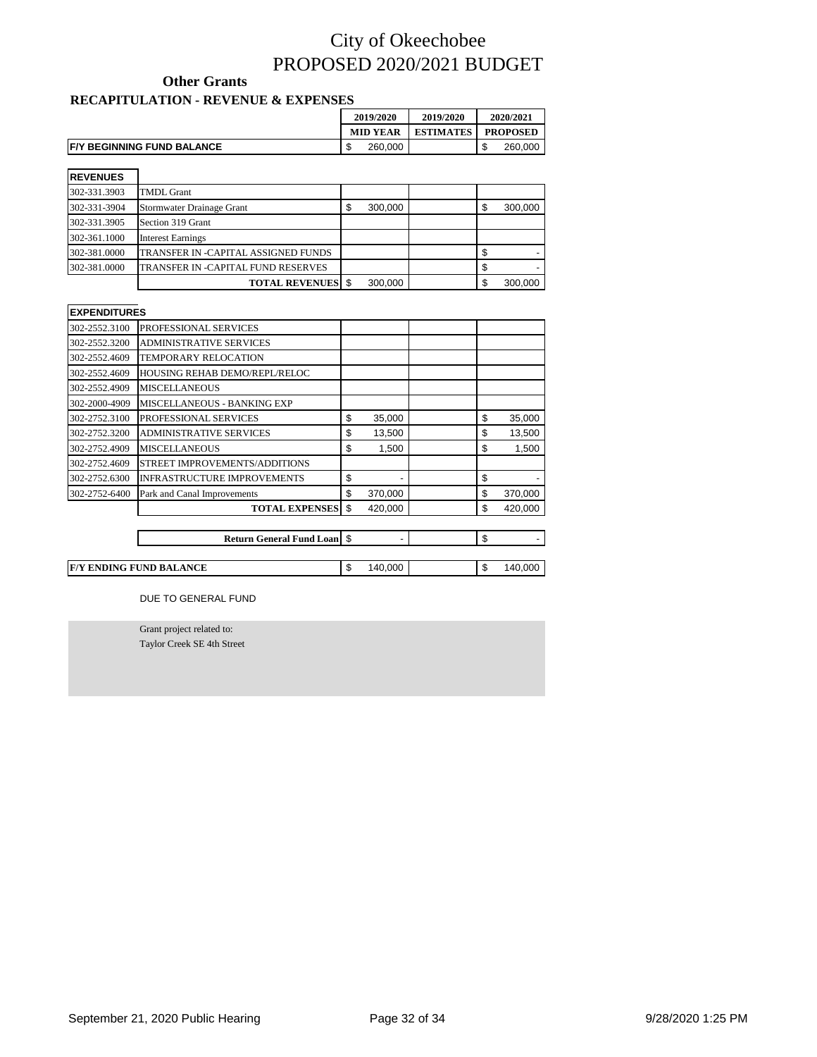**Other Grants**

#### **RECAPITULATION - REVENUE & EXPENSES**

|                                    | 2019/2020       | 2019/2020        | 2020/2021       |
|------------------------------------|-----------------|------------------|-----------------|
|                                    | <b>MID YEAR</b> | <b>ESTIMATES</b> | <b>PROPOSED</b> |
| <b>IF/Y BEGINNING FUND BALANCE</b> | 260.000         |                  | ₼<br>260.000    |

| <b>IREVENUES</b> |                                     |               |  |         |
|------------------|-------------------------------------|---------------|--|---------|
| 302-331.3903     | TMDL Grant                          |               |  |         |
| 302-331-3904     | Stormwater Drainage Grant           | \$<br>300,000 |  | 300,000 |
| 302-331.3905     | Section 319 Grant                   |               |  |         |
| 302-361.1000     | <b>Interest Earnings</b>            |               |  |         |
| 302-381.0000     | TRANSFER IN -CAPITAL ASSIGNED FUNDS |               |  |         |
| 302-381.0000     | TRANSFER IN -CAPITAL FUND RESERVES  |               |  |         |
|                  | <b>TOTAL REVENUES</b> \$            | 300,000       |  | 300,000 |

| <b>EXPENDITURES</b> |                                      |                |    |         |
|---------------------|--------------------------------------|----------------|----|---------|
| 302-2552.3100       | PROFESSIONAL SERVICES                |                |    |         |
| 302-2552.3200       | <b>ADMINISTRATIVE SERVICES</b>       |                |    |         |
| 302-2552.4609       | <b>TEMPORARY RELOCATION</b>          |                |    |         |
| 302-2552.4609       | <b>HOUSING REHAB DEMO/REPL/RELOC</b> |                |    |         |
| 302-2552.4909       | <b>MISCELLANEOUS</b>                 |                |    |         |
| 302-2000-4909       | MISCELLANEOUS - BANKING EXP          |                |    |         |
| 302-2752.3100       | PROFESSIONAL SERVICES                | \$<br>35,000   | \$ | 35,000  |
| 302-2752.3200       | <b>ADMINISTRATIVE SERVICES</b>       | \$<br>13,500   | \$ | 13,500  |
| 302-2752.4909       | <b>MISCELLANEOUS</b>                 | \$<br>1,500    | \$ | 1,500   |
| 302-2752.4609       | STREET IMPROVEMENTS/ADDITIONS        |                |    |         |
| 302-2752.6300       | <b>INFRASTRUCTURE IMPROVEMENTS</b>   | \$             | \$ |         |
| 302-2752-6400       | Park and Canal Improvements          | \$<br>370,000  | \$ | 370,000 |
|                     | <b>TOTAL EXPENSES</b> \$             | 420,000        | \$ | 420,000 |
|                     |                                      |                |    |         |
|                     | Return General Fund Loan             | $\blacksquare$ | \$ |         |

| <b>F/Y ENDING FUND BALANCE</b> | 140.000 |  | .000<br>$140^{\circ}$ |
|--------------------------------|---------|--|-----------------------|
|                                |         |  |                       |

DUE TO GENERAL FUND

Grant project related to: Taylor Creek SE 4th Street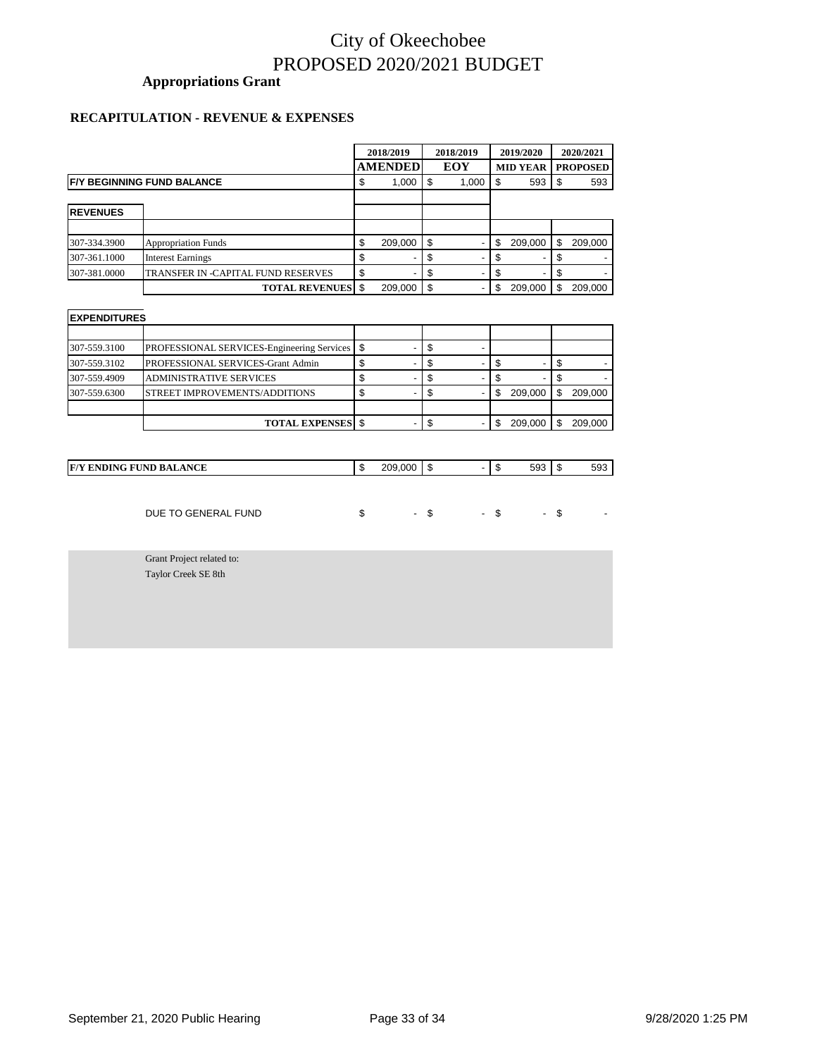**Appropriations Grant**

#### **RECAPITULATION - REVENUE & EXPENSES**

|                 |                                    | 2018/2019 |                | 2018/2019 |            | 2019/2020 |                 | 2020/2021 |                 |
|-----------------|------------------------------------|-----------|----------------|-----------|------------|-----------|-----------------|-----------|-----------------|
|                 |                                    |           | <b>AMENDED</b> |           | <b>EOY</b> |           | <b>MID YEAR</b> |           | <b>PROPOSED</b> |
|                 | F/Y BEGINNING FUND BALANCE         | \$        | 1,000          | - \$      | 1,000      |           | 593             | - \$      | 593             |
|                 |                                    |           |                |           |            |           |                 |           |                 |
| <b>REVENUES</b> |                                    |           |                |           |            |           |                 |           |                 |
|                 |                                    |           |                |           |            |           |                 |           |                 |
| 307-334.3900    | <b>Appropriation Funds</b>         | \$        | 209,000        | ' \$      |            | \$        | 209,000         | \$        | 209,000         |
| 307-361.1000    | <b>Interest Earnings</b>           | \$        |                |           |            | Jэ        |                 | ۰D        |                 |
| 307-381.0000    | TRANSFER IN -CAPITAL FUND RESERVES | \$        |                |           |            |           |                 |           |                 |
|                 | <b>TOTAL REVENUES</b> \$           |           | 209,000        | -\$       |            | S         | 209,000         | S         | 209,000         |

### **EXPENDITURES** 307-559.3100 PROFESSIONAL SERVICES-Engineering Services  $\$\text{---}\$$  $307-559.3102$  PROFESSIONAL SERVICES-Grant Admin  $\$\text{\$}$  -  $\$\text{\$}$  -  $\$\text{\$}$ 307-559.4909 ADMINISTRATIVE SERVICES \$ - \$ - \$ - \$ - 307-559.6300 STREET IMPROVEMENTS/ADDITIONS \$ - \$ - \$ 209,000 \$ 209,000 **TOTAL EXPENSES**  $\left| \text{\$} \right|$   $\left| \text{\$} \right|$   $\left| \text{\$} \right|$   $\left| \text{\$} \right|$   $\left| \text{\$} \right|$  209,000  $\left| \text{\$} \right|$  209,000

| <b>F/Y ENDING FUND BALANCE</b> | ₼<br>◡ | 209,000 | $\overline{\phantom{a}}$<br>-11 | æ | 593 | - 12 | 593 |
|--------------------------------|--------|---------|---------------------------------|---|-----|------|-----|
|                                |        |         |                                 |   |     |      |     |
|                                |        |         |                                 |   |     |      |     |

DUE TO GENERAL FUND \$ 5 - \$ - \$

Grant Project related to: Taylor Creek SE 8th